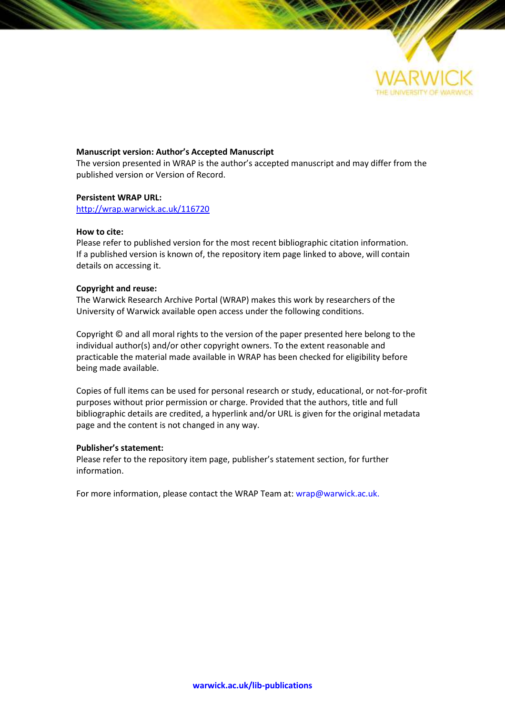

### **Manuscript version: Author's Accepted Manuscript**

The version presented in WRAP is the author's accepted manuscript and may differ from the published version or Version of Record.

### **Persistent WRAP URL:**

<http://wrap.warwick.ac.uk/116720>

### **How to cite:**

Please refer to published version for the most recent bibliographic citation information. If a published version is known of, the repository item page linked to above, will contain details on accessing it.

## **Copyright and reuse:**

The Warwick Research Archive Portal (WRAP) makes this work by researchers of the University of Warwick available open access under the following conditions.

Copyright © and all moral rights to the version of the paper presented here belong to the individual author(s) and/or other copyright owners. To the extent reasonable and practicable the material made available in WRAP has been checked for eligibility before being made available.

Copies of full items can be used for personal research or study, educational, or not-for-profit purposes without prior permission or charge. Provided that the authors, title and full bibliographic details are credited, a hyperlink and/or URL is given for the original metadata page and the content is not changed in any way.

### **Publisher's statement:**

Please refer to the repository item page, publisher's statement section, for further information.

For more information, please contact the WRAP Team at[: wrap@warwick.ac.uk.](mailto:wrap@warwick.ac.uk)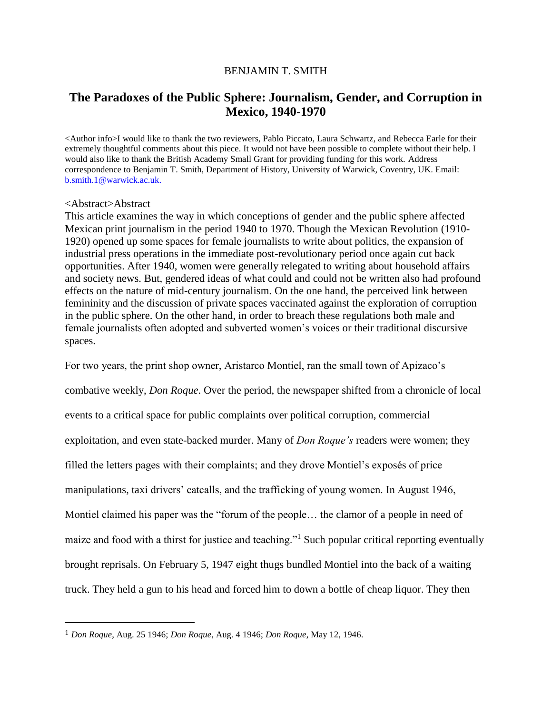# BENJAMIN T. SMITH

# **The Paradoxes of the Public Sphere: Journalism, Gender, and Corruption in Mexico, 1940-1970**

<Author info>I would like to thank the two reviewers, Pablo Piccato, Laura Schwartz, and Rebecca Earle for their extremely thoughtful comments about this piece. It would not have been possible to complete without their help. I would also like to thank the British Academy Small Grant for providing funding for this work. Address correspondence to Benjamin T. Smith, Department of History, University of Warwick, Coventry, UK. Email: [b.smith.1@warwick.ac.uk.](mailto:b.smith.1@warwick.ac.uk)

## <Abstract>Abstract

l

This article examines the way in which conceptions of gender and the public sphere affected Mexican print journalism in the period 1940 to 1970. Though the Mexican Revolution (1910- 1920) opened up some spaces for female journalists to write about politics, the expansion of industrial press operations in the immediate post-revolutionary period once again cut back opportunities. After 1940, women were generally relegated to writing about household affairs and society news. But, gendered ideas of what could and could not be written also had profound effects on the nature of mid-century journalism. On the one hand, the perceived link between femininity and the discussion of private spaces vaccinated against the exploration of corruption in the public sphere. On the other hand, in order to breach these regulations both male and female journalists often adopted and subverted women's voices or their traditional discursive spaces.

For two years, the print shop owner, Aristarco Montiel, ran the small town of Apizaco's combative weekly, *Don Roque*. Over the period, the newspaper shifted from a chronicle of local events to a critical space for public complaints over political corruption, commercial exploitation, and even state-backed murder. Many of *Don Roque's* readers were women; they filled the letters pages with their complaints; and they drove Montiel's exposés of price manipulations, taxi drivers' catcalls, and the trafficking of young women. In August 1946, Montiel claimed his paper was the "forum of the people… the clamor of a people in need of maize and food with a thirst for justice and teaching."<sup>1</sup> Such popular critical reporting eventually brought reprisals. On February 5, 1947 eight thugs bundled Montiel into the back of a waiting truck. They held a gun to his head and forced him to down a bottle of cheap liquor. They then

<sup>1</sup> *Don Roque*, Aug. 25 1946; *Don Roque*, Aug. 4 1946; *Don Roque*, May 12, 1946.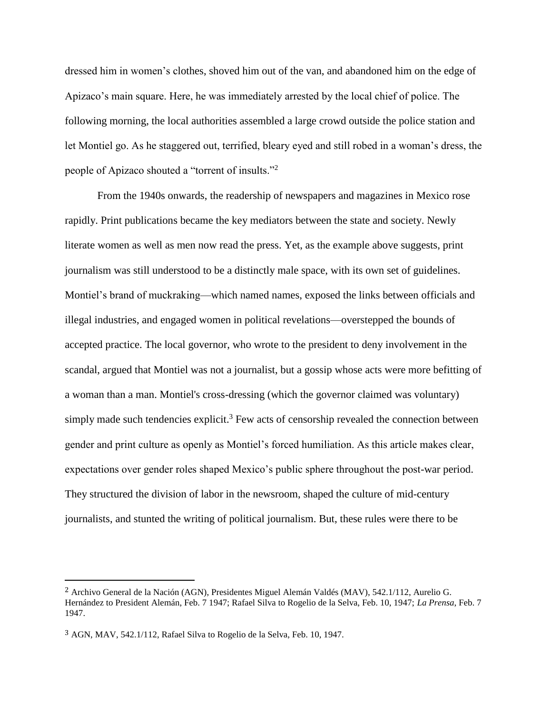dressed him in women's clothes, shoved him out of the van, and abandoned him on the edge of Apizaco's main square. Here, he was immediately arrested by the local chief of police. The following morning, the local authorities assembled a large crowd outside the police station and let Montiel go. As he staggered out, terrified, bleary eyed and still robed in a woman's dress, the people of Apizaco shouted a "torrent of insults."<sup>2</sup>

From the 1940s onwards, the readership of newspapers and magazines in Mexico rose rapidly. Print publications became the key mediators between the state and society. Newly literate women as well as men now read the press. Yet, as the example above suggests, print journalism was still understood to be a distinctly male space, with its own set of guidelines. Montiel's brand of muckraking—which named names, exposed the links between officials and illegal industries, and engaged women in political revelations—overstepped the bounds of accepted practice. The local governor, who wrote to the president to deny involvement in the scandal, argued that Montiel was not a journalist, but a gossip whose acts were more befitting of a woman than a man. Montiel's cross-dressing (which the governor claimed was voluntary) simply made such tendencies explicit.<sup>3</sup> Few acts of censorship revealed the connection between gender and print culture as openly as Montiel's forced humiliation. As this article makes clear, expectations over gender roles shaped Mexico's public sphere throughout the post-war period. They structured the division of labor in the newsroom, shaped the culture of mid-century journalists, and stunted the writing of political journalism. But, these rules were there to be

<sup>2</sup> Archivo General de la Nación (AGN), Presidentes Miguel Alemán Valdés (MAV), 542.1/112, Aurelio G. Hernández to President Alemán, Feb. 7 1947; Rafael Silva to Rogelio de la Selva, Feb. 10, 1947; *La Prensa*, Feb. 7 1947.

<sup>3</sup> AGN, MAV, 542.1/112, Rafael Silva to Rogelio de la Selva, Feb. 10, 1947.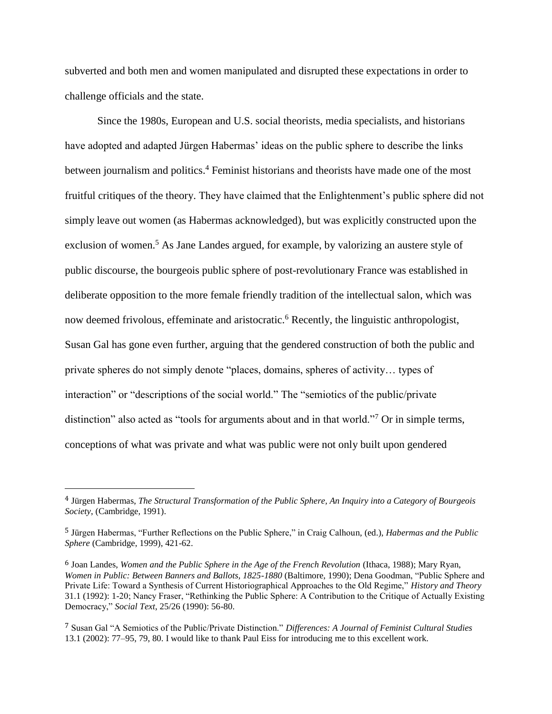subverted and both men and women manipulated and disrupted these expectations in order to challenge officials and the state.

Since the 1980s, European and U.S. social theorists, media specialists, and historians have adopted and adapted Jürgen Habermas' ideas on the public sphere to describe the links between journalism and politics.<sup>4</sup> Feminist historians and theorists have made one of the most fruitful critiques of the theory. They have claimed that the Enlightenment's public sphere did not simply leave out women (as Habermas acknowledged), but was explicitly constructed upon the exclusion of women.<sup>5</sup> As Jane Landes argued, for example, by valorizing an austere style of public discourse, the bourgeois public sphere of post-revolutionary France was established in deliberate opposition to the more female friendly tradition of the intellectual salon, which was now deemed frivolous, effeminate and aristocratic.<sup>6</sup> Recently, the linguistic anthropologist, Susan Gal has gone even further, arguing that the gendered construction of both the public and private spheres do not simply denote "places, domains, spheres of activity… types of interaction" or "descriptions of the social world." The "semiotics of the public/private distinction" also acted as "tools for arguments about and in that world."<sup>7</sup> Or in simple terms, conceptions of what was private and what was public were not only built upon gendered

<sup>4</sup> Jürgen Habermas, *The Structural Transformation of the Public Sphere, An Inquiry into a Category of Bourgeois Society*, (Cambridge, 1991).

<sup>5</sup> Jürgen Habermas, "Further Reflections on the Public Sphere," in Craig Calhoun, (ed.), *Habermas and the Public Sphere* (Cambridge, 1999), 421-62.

<sup>6</sup> Joan Landes, *Women and the Public Sphere in the Age of the French Revolution* (Ithaca, 1988); Mary Ryan, *Women in Public: Between Banners and Ballots, 1825-1880* (Baltimore, 1990); Dena Goodman, "Public Sphere and Private Life: Toward a Synthesis of Current Historiographical Approaches to the Old Regime," *History and Theory* 31.1 (1992): 1-20; Nancy Fraser, "Rethinking the Public Sphere: A Contribution to the Critique of Actually Existing Democracy," *Social Text*, 25/26 (1990): 56-80.

<sup>7</sup> Susan Gal "A Semiotics of the Public/Private Distinction." *Differences: A Journal of Feminist Cultural Studies* 13.1 (2002): 77–95, 79, 80. I would like to thank Paul Eiss for introducing me to this excellent work.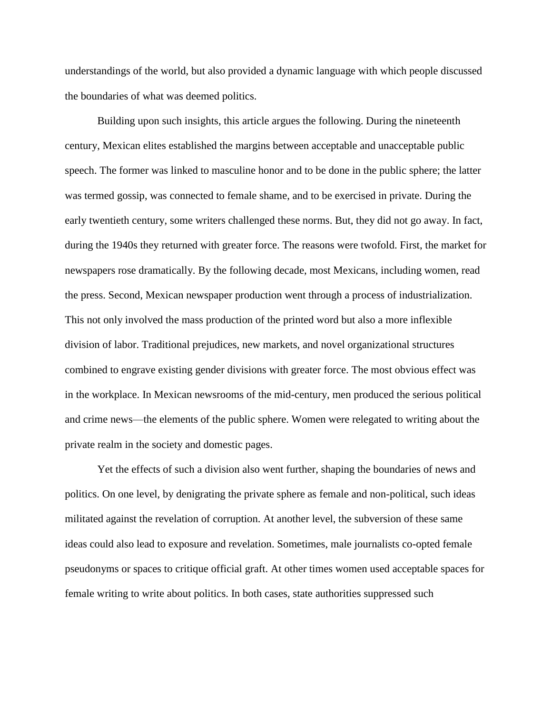understandings of the world, but also provided a dynamic language with which people discussed the boundaries of what was deemed politics.

Building upon such insights, this article argues the following. During the nineteenth century, Mexican elites established the margins between acceptable and unacceptable public speech. The former was linked to masculine honor and to be done in the public sphere; the latter was termed gossip, was connected to female shame, and to be exercised in private. During the early twentieth century, some writers challenged these norms. But, they did not go away. In fact, during the 1940s they returned with greater force. The reasons were twofold. First, the market for newspapers rose dramatically. By the following decade, most Mexicans, including women, read the press. Second, Mexican newspaper production went through a process of industrialization. This not only involved the mass production of the printed word but also a more inflexible division of labor. Traditional prejudices, new markets, and novel organizational structures combined to engrave existing gender divisions with greater force. The most obvious effect was in the workplace. In Mexican newsrooms of the mid-century, men produced the serious political and crime news—the elements of the public sphere. Women were relegated to writing about the private realm in the society and domestic pages.

Yet the effects of such a division also went further, shaping the boundaries of news and politics. On one level, by denigrating the private sphere as female and non-political, such ideas militated against the revelation of corruption. At another level, the subversion of these same ideas could also lead to exposure and revelation. Sometimes, male journalists co-opted female pseudonyms or spaces to critique official graft. At other times women used acceptable spaces for female writing to write about politics. In both cases, state authorities suppressed such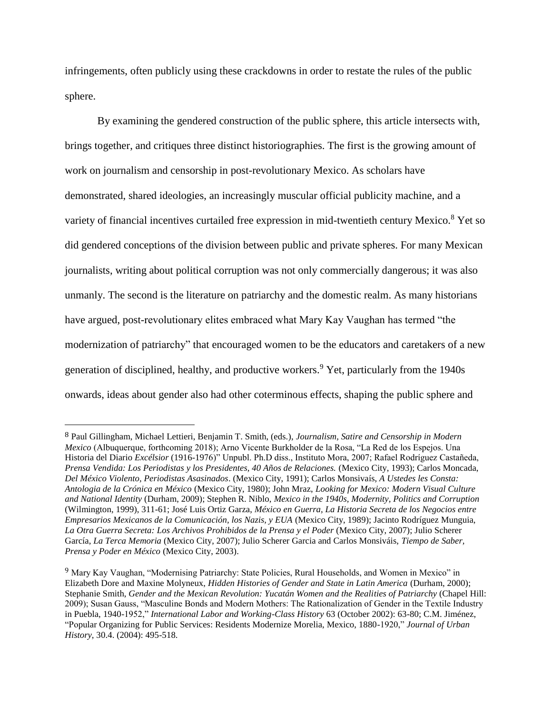infringements, often publicly using these crackdowns in order to restate the rules of the public sphere.

By examining the gendered construction of the public sphere, this article intersects with, brings together, and critiques three distinct historiographies. The first is the growing amount of work on journalism and censorship in post-revolutionary Mexico. As scholars have demonstrated, shared ideologies, an increasingly muscular official publicity machine, and a variety of financial incentives curtailed free expression in mid-twentieth century Mexico.<sup>8</sup> Yet so did gendered conceptions of the division between public and private spheres. For many Mexican journalists, writing about political corruption was not only commercially dangerous; it was also unmanly. The second is the literature on patriarchy and the domestic realm. As many historians have argued, post-revolutionary elites embraced what Mary Kay Vaughan has termed "the modernization of patriarchy" that encouraged women to be the educators and caretakers of a new generation of disciplined, healthy, and productive workers.<sup>9</sup> Yet, particularly from the 1940s onwards, ideas about gender also had other coterminous effects, shaping the public sphere and

<sup>8</sup> Paul Gillingham, Michael Lettieri, Benjamin T. Smith, (eds.), *Journalism, Satire and Censorship in Modern Mexico* (Albuquerque, forthcoming 2018); Arno Vicente Burkholder de la Rosa, "La Red de los Espejos. Una Historia del Diario *Excélsior* (1916-1976)" Unpubl. Ph.D diss., Instituto Mora, 2007; Rafael Rodríguez Castañeda, *Prensa Vendida: Los Periodistas y los Presidentes, 40 Años de Relaciones.* (Mexico City, 1993); Carlos Moncada, *Del México Violento, Periodistas Asasinados*. (Mexico City, 1991); Carlos Monsivaís, *A Ustedes les Consta: Antologia de la Crónica en México* (Mexico City, 1980); John Mraz, *Looking for Mexico: Modern Visual Culture and National Identity* (Durham, 2009); Stephen R. Niblo, *Mexico in the 1940s, Modernity, Politics and Corruption* (Wilmington, 1999), 311-61; José Luis Ortiz Garza, *México en Guerra, La Historia Secreta de los Negocios entre Empresarios Mexicanos de la Comunicación, los Nazis, y EUA* (Mexico City, 1989); Jacinto Rodríguez Munguia, *La Otra Guerra Secreta: Los Archivos Prohibidos de la Prensa y el Poder* (Mexico City, 2007); Julio Scherer García, *La Terca Memoria* (Mexico City, 2007); Julio Scherer Garcia and Carlos Monsiváis, *Tiempo de Saber, Prensa y Poder en México* (Mexico City, 2003).

<sup>&</sup>lt;sup>9</sup> Mary Kay Vaughan, "Modernising Patriarchy: State Policies, Rural Households, and Women in Mexico" in Elizabeth Dore and Maxine Molyneux, *Hidden Histories of Gender and State in Latin America* (Durham, 2000); Stephanie Smith, *Gender and the Mexican Revolution: Yucatán Women and the Realities of Patriarchy* (Chapel Hill: 2009); Susan Gauss, "Masculine Bonds and Modern Mothers: The Rationalization of Gender in the Textile Industry in Puebla, 1940-1952," *International Labor and Working-Class History* 63 (October 2002): 63-80; C.M. Jiménez, "Popular Organizing for Public Services: Residents Modernize Morelia, Mexico, 1880-1920," *Journal of Urban History*, 30.4. (2004): 495-518.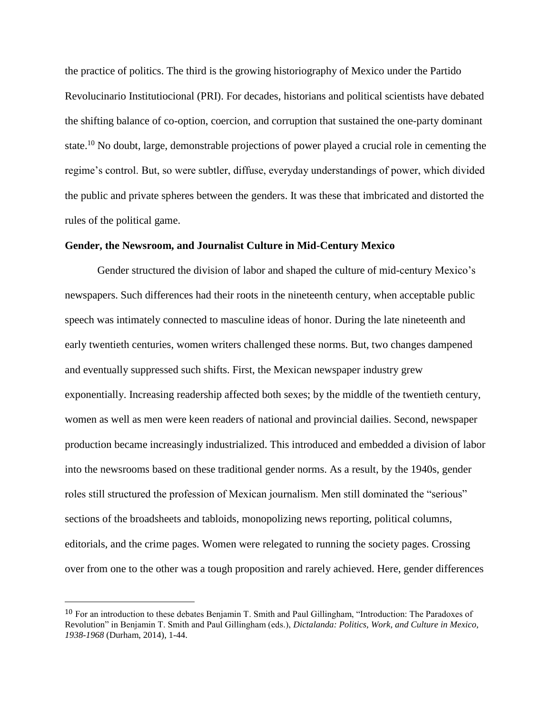the practice of politics. The third is the growing historiography of Mexico under the Partido Revolucinario Institutiocional (PRI). For decades, historians and political scientists have debated the shifting balance of co-option, coercion, and corruption that sustained the one-party dominant state.<sup>10</sup> No doubt, large, demonstrable projections of power played a crucial role in cementing the regime's control. But, so were subtler, diffuse, everyday understandings of power, which divided the public and private spheres between the genders. It was these that imbricated and distorted the rules of the political game.

## **Gender, the Newsroom, and Journalist Culture in Mid-Century Mexico**

Gender structured the division of labor and shaped the culture of mid-century Mexico's newspapers. Such differences had their roots in the nineteenth century, when acceptable public speech was intimately connected to masculine ideas of honor. During the late nineteenth and early twentieth centuries, women writers challenged these norms. But, two changes dampened and eventually suppressed such shifts. First, the Mexican newspaper industry grew exponentially. Increasing readership affected both sexes; by the middle of the twentieth century, women as well as men were keen readers of national and provincial dailies. Second, newspaper production became increasingly industrialized. This introduced and embedded a division of labor into the newsrooms based on these traditional gender norms. As a result, by the 1940s, gender roles still structured the profession of Mexican journalism. Men still dominated the "serious" sections of the broadsheets and tabloids, monopolizing news reporting, political columns, editorials, and the crime pages. Women were relegated to running the society pages. Crossing over from one to the other was a tough proposition and rarely achieved. Here, gender differences

<sup>10</sup> For an introduction to these debates Benjamin T. Smith and Paul Gillingham, "Introduction: The Paradoxes of Revolution" in Benjamin T. Smith and Paul Gillingham (eds.), *Dictalanda: Politics, Work, and Culture in Mexico, 1938-1968* (Durham, 2014), 1-44.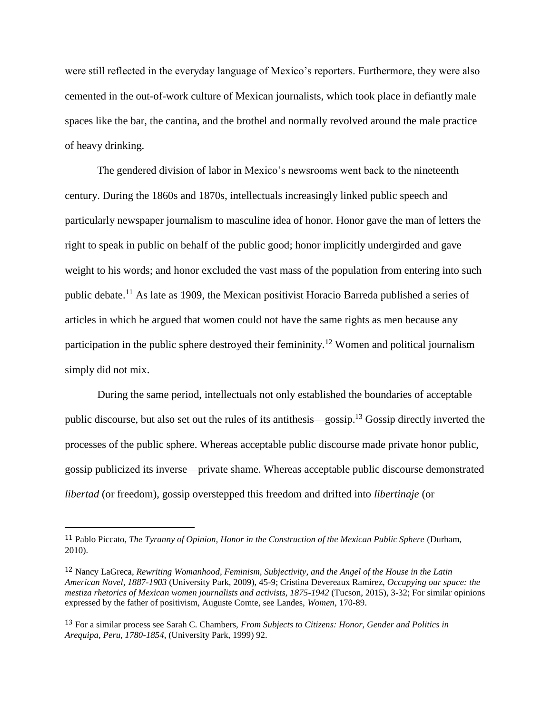were still reflected in the everyday language of Mexico's reporters. Furthermore, they were also cemented in the out-of-work culture of Mexican journalists, which took place in defiantly male spaces like the bar, the cantina, and the brothel and normally revolved around the male practice of heavy drinking.

The gendered division of labor in Mexico's newsrooms went back to the nineteenth century. During the 1860s and 1870s, intellectuals increasingly linked public speech and particularly newspaper journalism to masculine idea of honor. Honor gave the man of letters the right to speak in public on behalf of the public good; honor implicitly undergirded and gave weight to his words; and honor excluded the vast mass of the population from entering into such public debate.<sup>11</sup> As late as 1909, the Mexican positivist Horacio Barreda published a series of articles in which he argued that women could not have the same rights as men because any participation in the public sphere destroyed their femininity.<sup>12</sup> Women and political journalism simply did not mix.

During the same period, intellectuals not only established the boundaries of acceptable public discourse, but also set out the rules of its antithesis—gossip.<sup>13</sup> Gossip directly inverted the processes of the public sphere. Whereas acceptable public discourse made private honor public, gossip publicized its inverse—private shame. Whereas acceptable public discourse demonstrated *libertad* (or freedom), gossip overstepped this freedom and drifted into *libertinaje* (or

<sup>11</sup> Pablo Piccato, *The Tyranny of Opinion, Honor in the Construction of the Mexican Public Sphere* (Durham, 2010).

<sup>12</sup> Nancy LaGreca, *Rewriting Womanhood, Feminism, Subjectivity, and the Angel of the House in the Latin American Novel, 1887-1903* (University Park, 2009), 45-9; Cristina Devereaux Ramírez, *Occupying our space: the mestiza rhetorics of Mexican women journalists and activists, 1875-1942* (Tucson, 2015), 3-32; For similar opinions expressed by the father of positivism, Auguste Comte, see Landes, *Women*, 170-89.

<sup>13</sup> For a similar process see Sarah C. Chambers, *From Subjects to Citizens: Honor, Gender and Politics in Arequipa, Peru, 1780-1854*, (University Park, 1999) 92.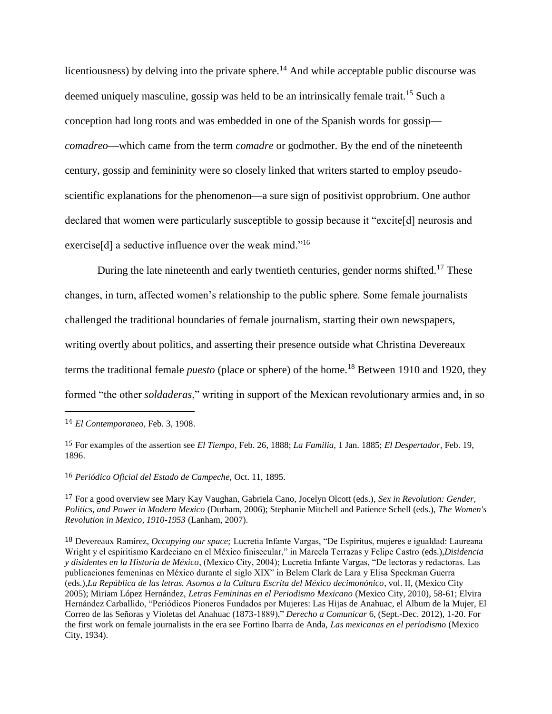licentiousness) by delving into the private sphere.<sup>14</sup> And while acceptable public discourse was deemed uniquely masculine, gossip was held to be an intrinsically female trait.<sup>15</sup> Such a conception had long roots and was embedded in one of the Spanish words for gossip *comadreo*—which came from the term *comadre* or godmother. By the end of the nineteenth century, gossip and femininity were so closely linked that writers started to employ pseudoscientific explanations for the phenomenon—a sure sign of positivist opprobrium. One author declared that women were particularly susceptible to gossip because it "excite[d] neurosis and exercise<sup>[d]</sup> a seductive influence over the weak mind."<sup>16</sup>

During the late nineteenth and early twentieth centuries, gender norms shifted.<sup>17</sup> These changes, in turn, affected women's relationship to the public sphere. Some female journalists challenged the traditional boundaries of female journalism, starting their own newspapers, writing overtly about politics, and asserting their presence outside what Christina Devereaux terms the traditional female *puesto* (place or sphere) of the home.<sup>18</sup> Between 1910 and 1920, they formed "the other *soldaderas*," writing in support of the Mexican revolutionary armies and, in so

 $\overline{\phantom{a}}$ 

16 *Periódico Oficial del Estado de Campeche,* Oct. 11, 1895.

17 For a good overview see Mary Kay Vaughan, Gabriela Cano, Jocelyn Olcott (eds.), *Sex in Revolution: Gender, Politics, and Power in Modern Mexico* (Durham, 2006); Stephanie Mitchell and Patience Schell (eds.), *The Women's Revolution in Mexico, 1910-1953* (Lanham, 2007).

<sup>14</sup> *El Contemporaneo*, Feb. 3, 1908.

<sup>15</sup> For examples of the assertion see *El Tiempo*, Feb. 26, 1888; *La Familia,* 1 Jan. 1885; *El Despertador,* Feb. 19, 1896.

<sup>18</sup> Devereaux Ramírez, *Occupying our space;* Lucretia Infante Vargas, "De Espíritus, mujeres e igualdad: Laureana Wright y el espiritismo Kardeciano en el México finisecular," in Marcela Terrazas y Felipe Castro (eds.),*Disidencia y disidentes en la Historia de México*, (Mexico City, 2004); Lucretia Infante Vargas, "De lectoras y redactoras. Las publicaciones femeninas en México durante el siglo XIX" in Belem Clark de Lara y Elisa Speckman Guerra (eds.),*La República de las letras. Asomos a la Cultura Escrita del México decimonónico*, vol. II, (Mexico City 2005); Miriam López Hernández, *Letras Femininas en el Periodismo Mexicano* (Mexico City, 2010), 58-61; Elvira Hernández Carballido, "Periódicos Pioneros Fundados por Mujeres: Las Hijas de Anahuac, el Album de la Mujer, El Correo de las Señoras y Violetas del Anahuac (1873-1889)," *Derecho a Comunicar* 6*,* (Sept.-Dec. 2012), 1-20. For the first work on female journalists in the era see Fortino Ibarra de Anda, *Las mexicanas en el periodismo* (Mexico City, 1934).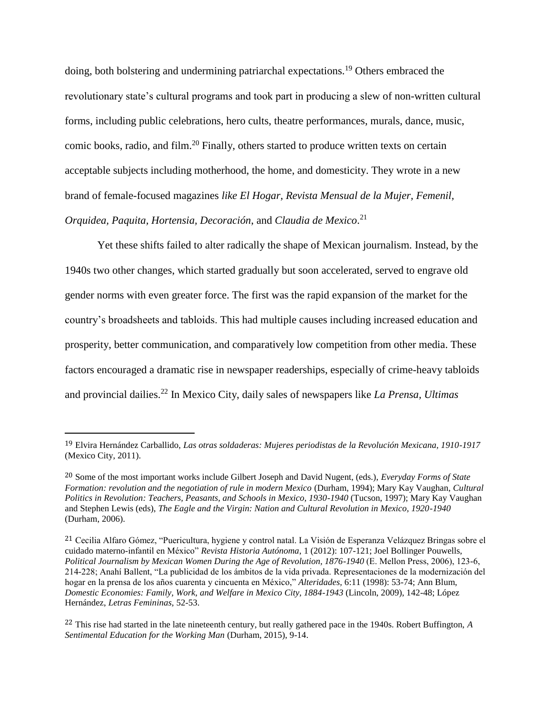doing, both bolstering and undermining patriarchal expectations.<sup>19</sup> Others embraced the revolutionary state's cultural programs and took part in producing a slew of non-written cultural forms, including public celebrations, hero cults, theatre performances, murals, dance, music, comic books, radio, and film.<sup>20</sup> Finally, others started to produce written texts on certain acceptable subjects including motherhood, the home, and domesticity. They wrote in a new brand of female-focused magazines *like El Hogar, Revista Mensual de la Mujer, Femenil, Orquidea, Paquita, Hortensia, Decoración*, and *Claudia de Mexico*. 21

Yet these shifts failed to alter radically the shape of Mexican journalism. Instead, by the 1940s two other changes, which started gradually but soon accelerated, served to engrave old gender norms with even greater force. The first was the rapid expansion of the market for the country's broadsheets and tabloids. This had multiple causes including increased education and prosperity, better communication, and comparatively low competition from other media. These factors encouraged a dramatic rise in newspaper readerships, especially of crime-heavy tabloids and provincial dailies.<sup>22</sup> In Mexico City, daily sales of newspapers like *La Prensa, Ultimas* 

<sup>19</sup> Elvira Hernández Carballido, *Las otras soldaderas: Mujeres periodistas de la Revolución Mexicana, 1910-1917* (Mexico City, 2011).

<sup>20</sup> Some of the most important works include Gilbert Joseph and David Nugent, (eds.), *Everyday Forms of State Formation: revolution and the negotiation of rule in modern Mexico* (Durham, 1994); Mary Kay Vaughan, *Cultural Politics in Revolution: Teachers, Peasants, and Schools in Mexico, 1930-1940* (Tucson, 1997); Mary Kay Vaughan and Stephen Lewis (eds), *The Eagle and the Virgin: Nation and Cultural Revolution in Mexico, 1920-1940*  (Durham, 2006).

<sup>21</sup> Cecilia Alfaro Gómez, "Puericultura, hygiene y control natal. La Visión de Esperanza Velázquez Bringas sobre el cuidado materno-infantil en México" *Revista Historia Autónoma*, 1 (2012): 107-121; Joel Bollinger Pouwells, *Political Journalism by Mexican Women During the Age of Revolution, 1876-1940* (E. Mellon Press, 2006), 123-6, 214-228; Anahí Ballent, "La publicidad de los ámbitos de la vida privada. Representaciones de la modernización del hogar en la prensa de los años cuarenta y cincuenta en México," *Alteridades,* 6:11 (1998): 53-74; Ann Blum, *Domestic Economies: Family, Work, and Welfare in Mexico City, 1884-1943* (Lincoln, 2009), 142-48; López Hernández, *Letras Femininas,* 52-53.

<sup>22</sup> This rise had started in the late nineteenth century, but really gathered pace in the 1940s. Robert Buffington, *A Sentimental Education for the Working Man* (Durham, 2015), 9-14.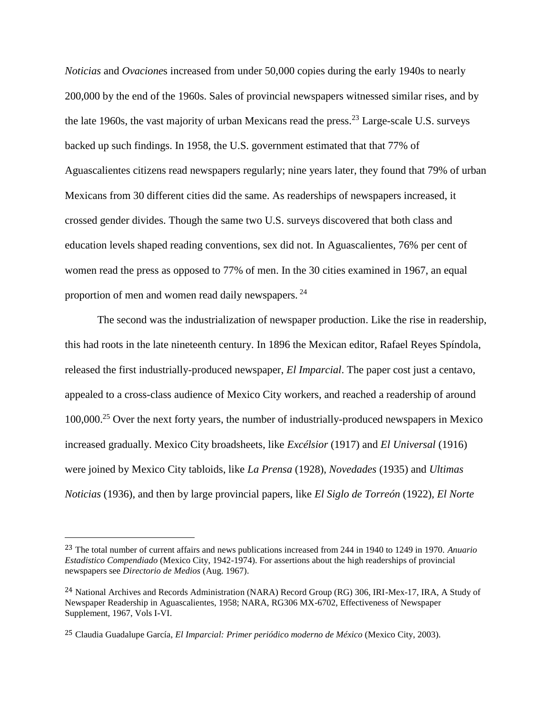*Noticias* and *Ovacione*s increased from under 50,000 copies during the early 1940s to nearly 200,000 by the end of the 1960s. Sales of provincial newspapers witnessed similar rises, and by the late 1960s, the vast majority of urban Mexicans read the press.<sup>23</sup> Large-scale U.S. surveys backed up such findings. In 1958, the U.S. government estimated that that 77% of Aguascalientes citizens read newspapers regularly; nine years later, they found that 79% of urban Mexicans from 30 different cities did the same. As readerships of newspapers increased, it crossed gender divides. Though the same two U.S. surveys discovered that both class and education levels shaped reading conventions, sex did not. In Aguascalientes, 76% per cent of women read the press as opposed to 77% of men. In the 30 cities examined in 1967, an equal proportion of men and women read daily newspapers. <sup>24</sup>

The second was the industrialization of newspaper production. Like the rise in readership, this had roots in the late nineteenth century. In 1896 the Mexican editor, Rafael Reyes Spíndola, released the first industrially-produced newspaper, *El Imparcial*. The paper cost just a centavo, appealed to a cross-class audience of Mexico City workers, and reached a readership of around 100,000.<sup>25</sup> Over the next forty years, the number of industrially-produced newspapers in Mexico increased gradually. Mexico City broadsheets, like *Excélsior* (1917) and *El Universal* (1916) were joined by Mexico City tabloids, like *La Prensa* (1928), *Novedades* (1935) and *Ultimas Noticias* (1936), and then by large provincial papers, like *El Siglo de Torreón* (1922)*, El Norte*

<sup>23</sup> The total number of current affairs and news publications increased from 244 in 1940 to 1249 in 1970. *Anuario Estadistico Compendiado* (Mexico City, 1942-1974). For assertions about the high readerships of provincial newspapers see *Directorio de Medios* (Aug. 1967).

<sup>24</sup> National Archives and Records Administration (NARA) Record Group (RG) 306, IRI-Mex-17, IRA, A Study of Newspaper Readership in Aguascalientes, 1958; NARA, RG306 MX-6702, Effectiveness of Newspaper Supplement, 1967, Vols I-VI.

<sup>25</sup> Claudia Guadalupe García, *El Imparcial: Primer periódico moderno de México* (Mexico City, 2003).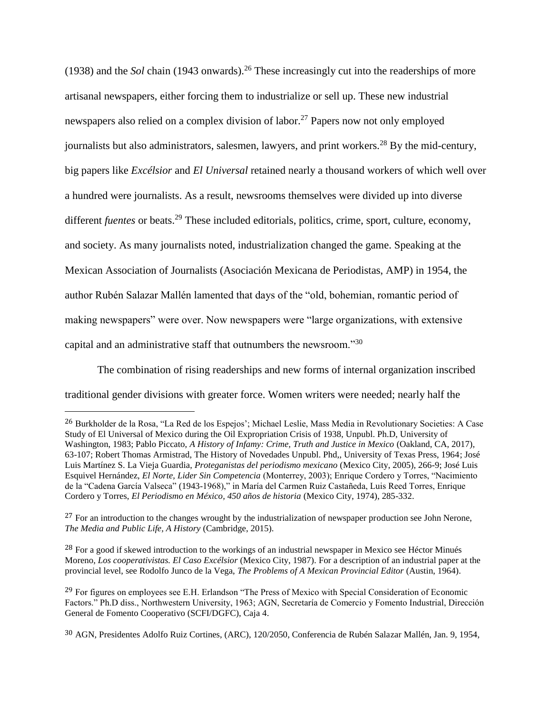(1938) and the *Sol* chain (1943 onwards).<sup>26</sup> These increasingly cut into the readerships of more artisanal newspapers, either forcing them to industrialize or sell up. These new industrial newspapers also relied on a complex division of labor.<sup>27</sup> Papers now not only employed journalists but also administrators, salesmen, lawyers, and print workers.<sup>28</sup> By the mid-century, big papers like *Excélsior* and *El Universal* retained nearly a thousand workers of which well over a hundred were journalists. As a result, newsrooms themselves were divided up into diverse different *fuentes* or beats.<sup>29</sup> These included editorials, politics, crime, sport, culture, economy, and society. As many journalists noted, industrialization changed the game. Speaking at the Mexican Association of Journalists (Asociación Mexicana de Periodistas, AMP) in 1954, the author Rubén Salazar Mallén lamented that days of the "old, bohemian, romantic period of making newspapers" were over. Now newspapers were "large organizations, with extensive capital and an administrative staff that outnumbers the newsroom."<sup>30</sup>

The combination of rising readerships and new forms of internal organization inscribed traditional gender divisions with greater force. Women writers were needed; nearly half the

<sup>26</sup> Burkholder de la Rosa, "La Red de los Espejos'; Michael Leslie, Mass Media in Revolutionary Societies: A Case Study of El Universal of Mexico during the Oil Expropriation Crisis of 1938, Unpubl. Ph.D, University of Washington, 1983; Pablo Piccato, *A History of Infamy: Crime, Truth and Justice in Mexico* (Oakland, CA, 2017), 63-107; Robert Thomas Armistrad, The History of Novedades Unpubl. Phd,, University of Texas Press, 1964; José Luis Martínez S. La Vieja Guardia, *Proteganistas del periodismo mexicano* (Mexico City, 2005), 266-9; José Luis Esquivel Hernández, *El Norte, Lider Sin Competencia* (Monterrey, 2003); Enrique Cordero y Torres, "Nacimiento de la "Cadena García Valseca" (1943-1968)," in María del Carmen Ruiz Castañeda, Luis Reed Torres, Enrique Cordero y Torres, *El Periodismo en México, 450 años de historia* (Mexico City, 1974), 285-332.

<sup>&</sup>lt;sup>27</sup> For an introduction to the changes wrought by the industrialization of newspaper production see John Nerone, *The Media and Public Life, A History* (Cambridge, 2015).

<sup>&</sup>lt;sup>28</sup> For a good if skewed introduction to the workings of an industrial newspaper in Mexico see Héctor Minués Moreno, *Los cooperativistas. El Caso Excélsior* (Mexico City, 1987). For a description of an industrial paper at the provincial level, see Rodolfo Junco de la Vega, *The Problems of A Mexican Provincial Editor* (Austin, 1964).

<sup>&</sup>lt;sup>29</sup> For figures on employees see E.H. Erlandson "The Press of Mexico with Special Consideration of Economic Factors." Ph.D diss., Northwestern University, 1963; AGN, Secretaría de Comercio y Fomento Industrial, Dirección General de Fomento Cooperativo (SCFI/DGFC), Caja 4.

<sup>30</sup> AGN, Presidentes Adolfo Ruiz Cortines, (ARC), 120/2050, Conferencia de Rubén Salazar Mallén, Jan. 9, 1954,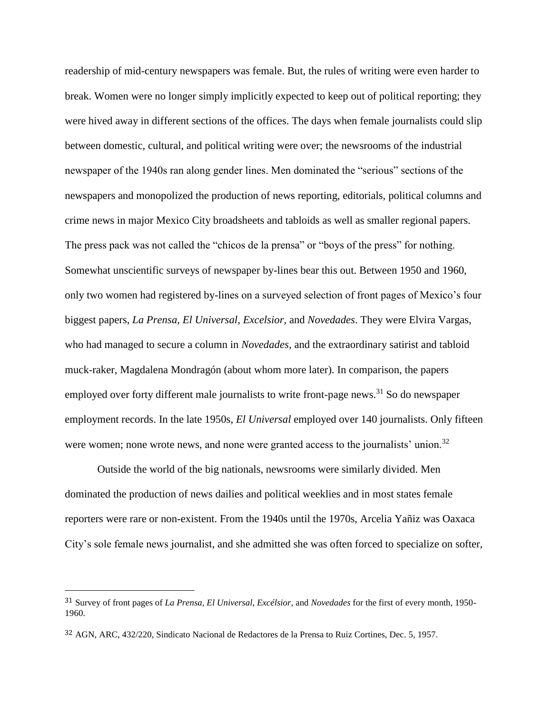readership of mid-century newspapers was female. But, the rules of writing were even harder to break. Women were no longer simply implicitly expected to keep out of political reporting; they were hived away in different sections of the offices. The days when female journalists could slip between domestic, cultural, and political writing were over; the newsrooms of the industrial newspaper of the 1940s ran along gender lines. Men dominated the "serious" sections of the newspapers and monopolized the production of news reporting, editorials, political columns and crime news in major Mexico City broadsheets and tabloids as well as smaller regional papers. The press pack was not called the "chicos de la prensa" or "boys of the press" for nothing. Somewhat unscientific surveys of newspaper by-lines bear this out. Between 1950 and 1960, only two women had registered by-lines on a surveyed selection of front pages of Mexico's four biggest papers, *La Prensa, El Universal, Excelsior,* and *Novedades*. They were Elvira Vargas, who had managed to secure a column in *Novedades*, and the extraordinary satirist and tabloid muck-raker, Magdalena Mondragón (about whom more later). In comparison, the papers employed over forty different male journalists to write front-page news.<sup>31</sup> So do newspaper employment records. In the late 1950s, *El Universal* employed over 140 journalists. Only fifteen were women; none wrote news, and none were granted access to the journalists' union.<sup>32</sup>

Outside the world of the big nationals, newsrooms were similarly divided. Men dominated the production of news dailies and political weeklies and in most states female reporters were rare or non-existent. From the 1940s until the 1970s, Arcelia Yañiz was Oaxaca City's sole female news journalist, and she admitted she was often forced to specialize on softer,

<sup>31</sup> Survey of front pages of *La Prensa, El Universal, Excélsior,* and *Novedades* for the first of every month, 1950- 1960.

<sup>32</sup> AGN, ARC, 432/220, Sindicato Nacional de Redactores de la Prensa to Ruiz Cortines, Dec. 5, 1957.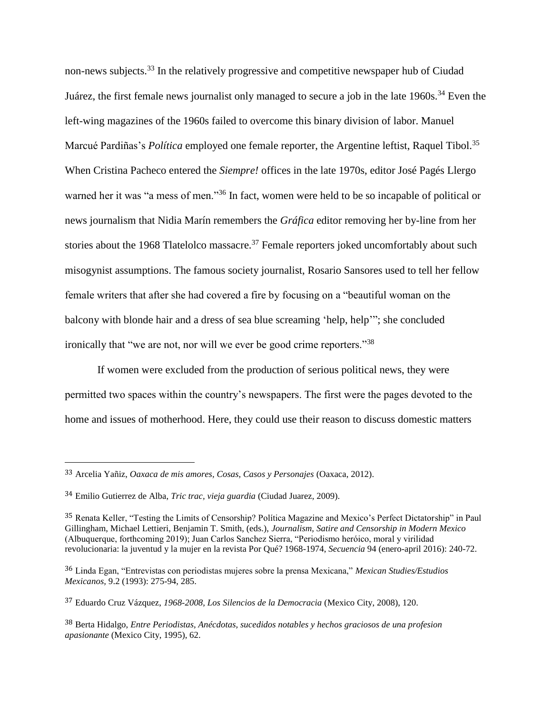non-news subjects.<sup>33</sup> In the relatively progressive and competitive newspaper hub of Ciudad Juárez, the first female news journalist only managed to secure a job in the late 1960s.<sup>34</sup> Even the left-wing magazines of the 1960s failed to overcome this binary division of labor. Manuel Marcué Pardiñas's *Política* employed one female reporter, the Argentine leftist, Raquel Tibol.<sup>35</sup> When Cristina Pacheco entered the *Siempre!* offices in the late 1970s, editor José Pagés Llergo warned her it was "a mess of men."<sup>36</sup> In fact, women were held to be so incapable of political or news journalism that Nidia Marín remembers the *Gráfica* editor removing her by-line from her stories about the 1968 Tlatelolco massacre.<sup>37</sup> Female reporters joked uncomfortably about such misogynist assumptions. The famous society journalist, Rosario Sansores used to tell her fellow female writers that after she had covered a fire by focusing on a "beautiful woman on the balcony with blonde hair and a dress of sea blue screaming 'help, help'"; she concluded ironically that "we are not, nor will we ever be good crime reporters."<sup>38</sup>

If women were excluded from the production of serious political news, they were permitted two spaces within the country's newspapers. The first were the pages devoted to the home and issues of motherhood. Here, they could use their reason to discuss domestic matters

<sup>33</sup> Arcelia Yañiz, *Oaxaca de mis amores, Cosas, Casos y Personajes* (Oaxaca, 2012).

<sup>34</sup> Emilio Gutierrez de Alba, *Tric trac, vieja guardia* (Ciudad Juarez, 2009).

<sup>35</sup> Renata Keller, "Testing the Limits of Censorship? Política Magazine and Mexico's Perfect Dictatorship" in Paul Gillingham, Michael Lettieri, Benjamin T. Smith, (eds.), *Journalism, Satire and Censorship in Modern Mexico* (Albuquerque, forthcoming 2019); Juan Carlos Sanchez Sierra, "Periodismo heróico, moral y virilidad revolucionaria: la juventud y la mujer en la revista Por Qué? 1968-1974, *Secuencia* 94 (enero-april 2016): 240-72.

<sup>36</sup> Linda Egan, "Entrevistas con periodistas mujeres sobre la prensa Mexicana," *Mexican Studies/Estudios Mexicanos,* 9.2 (1993): 275-94, 285.

<sup>37</sup> Eduardo Cruz Vázquez, *1968-2008, Los Silencios de la Democracia* (Mexico City, 2008), 120.

<sup>38</sup> Berta Hidalgo, *Entre Periodistas, Anécdotas, sucedidos notables y hechos graciosos de una profesion apasionante* (Mexico City, 1995), 62.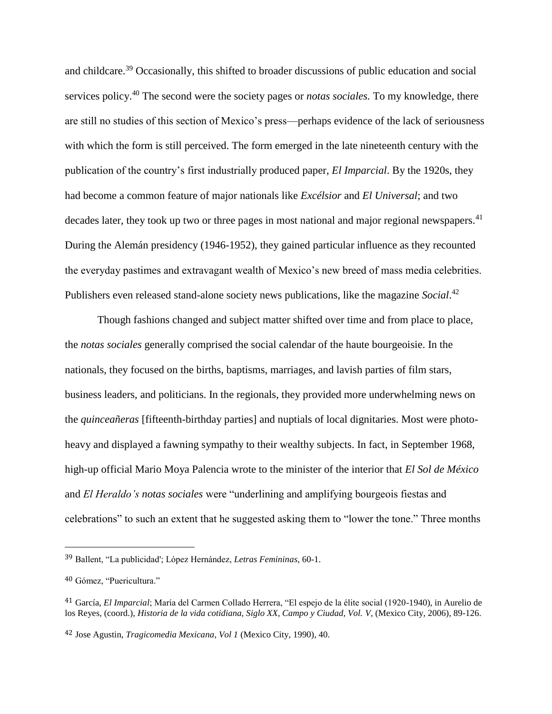and childcare.<sup>39</sup> Occasionally, this shifted to broader discussions of public education and social services policy.<sup>40</sup> The second were the society pages or *notas sociales.* To my knowledge, there are still no studies of this section of Mexico's press—perhaps evidence of the lack of seriousness with which the form is still perceived. The form emerged in the late nineteenth century with the publication of the country's first industrially produced paper, *El Imparcial*. By the 1920s, they had become a common feature of major nationals like *Excélsior* and *El Universal*; and two decades later, they took up two or three pages in most national and major regional newspapers.<sup>41</sup> During the Alemán presidency (1946-1952), they gained particular influence as they recounted the everyday pastimes and extravagant wealth of Mexico's new breed of mass media celebrities. Publishers even released stand-alone society news publications, like the magazine *Social*. 42

Though fashions changed and subject matter shifted over time and from place to place, the *notas sociales* generally comprised the social calendar of the haute bourgeoisie. In the nationals, they focused on the births, baptisms, marriages, and lavish parties of film stars, business leaders, and politicians. In the regionals, they provided more underwhelming news on the *quinceañeras* [fifteenth-birthday parties] and nuptials of local dignitaries. Most were photoheavy and displayed a fawning sympathy to their wealthy subjects. In fact, in September 1968, high-up official Mario Moya Palencia wrote to the minister of the interior that *El Sol de México* and *El Heraldo's notas sociales* were "underlining and amplifying bourgeois fiestas and celebrations" to such an extent that he suggested asking them to "lower the tone." Three months

<sup>39</sup> Ballent, "La publicidad'; López Hernández, *Letras Femininas,* 60-1.

<sup>40</sup> Gómez, "Puericultura."

<sup>41</sup> García, *El Imparcial*; María del Carmen Collado Herrera, "El espejo de la élite social (1920-1940), in Aurelio de los Reyes, (coord.), *Historia de la vida cotidiana, Siglo XX, Campo y Ciudad, Vol. V, (Mexico City, 2006), 89-126.* 

<sup>42</sup> Jose Agustin, *Tragicomedia Mexicana*, *Vol 1* (Mexico City, 1990), 40.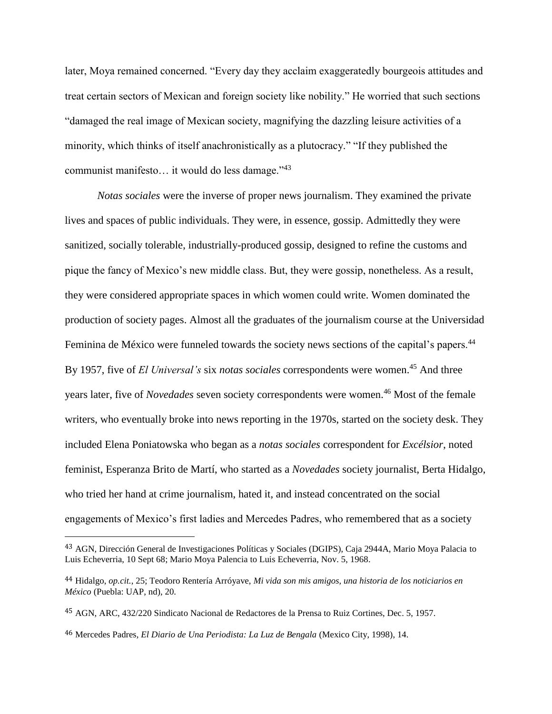later, Moya remained concerned. "Every day they acclaim exaggeratedly bourgeois attitudes and treat certain sectors of Mexican and foreign society like nobility." He worried that such sections "damaged the real image of Mexican society, magnifying the dazzling leisure activities of a minority, which thinks of itself anachronistically as a plutocracy." "If they published the communist manifesto… it would do less damage."<sup>43</sup>

*Notas sociales* were the inverse of proper news journalism. They examined the private lives and spaces of public individuals. They were, in essence, gossip. Admittedly they were sanitized, socially tolerable, industrially-produced gossip, designed to refine the customs and pique the fancy of Mexico's new middle class. But, they were gossip, nonetheless. As a result, they were considered appropriate spaces in which women could write. Women dominated the production of society pages. Almost all the graduates of the journalism course at the Universidad Feminina de México were funneled towards the society news sections of the capital's papers.<sup>44</sup> By 1957, five of *El Universal's* six *notas sociales* correspondents were women.<sup>45</sup> And three years later, five of *Novedades* seven society correspondents were women.<sup>46</sup> Most of the female writers, who eventually broke into news reporting in the 1970s, started on the society desk. They included Elena Poniatowska who began as a *notas sociales* correspondent for *Excélsior*, noted feminist, Esperanza Brito de Martí, who started as a *Novedades* society journalist, Berta Hidalgo, who tried her hand at crime journalism, hated it, and instead concentrated on the social engagements of Mexico's first ladies and Mercedes Padres, who remembered that as a society

<sup>43</sup> AGN, Dirección General de Investigaciones Políticas y Sociales (DGIPS), Caja 2944A, Mario Moya Palacia to Luis Echeverria, 10 Sept 68; Mario Moya Palencia to Luis Echeverria, Nov. 5, 1968.

<sup>44</sup> Hidalgo, *op.cit.*, 25; Teodoro Rentería Arróyave, *Mi vida son mis amigos, una historia de los noticiarios en México* (Puebla: UAP, nd), 20.

<sup>45</sup> AGN, ARC, 432/220 Sindicato Nacional de Redactores de la Prensa to Ruiz Cortines, Dec. 5, 1957.

<sup>46</sup> Mercedes Padres*, El Diario de Una Periodista: La Luz de Bengala* (Mexico City, 1998), 14.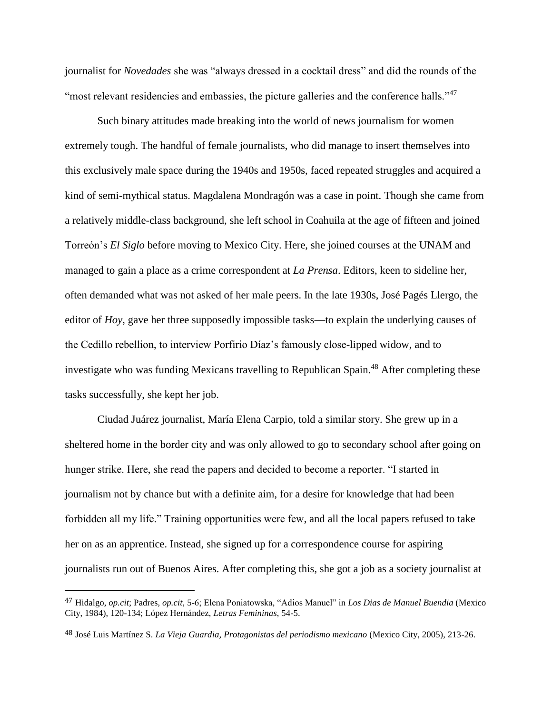journalist for *Novedades* she was "always dressed in a cocktail dress" and did the rounds of the "most relevant residencies and embassies, the picture galleries and the conference halls."<sup>47</sup>

Such binary attitudes made breaking into the world of news journalism for women extremely tough. The handful of female journalists, who did manage to insert themselves into this exclusively male space during the 1940s and 1950s, faced repeated struggles and acquired a kind of semi-mythical status. Magdalena Mondragón was a case in point. Though she came from a relatively middle-class background, she left school in Coahuila at the age of fifteen and joined Torreón's *El Siglo* before moving to Mexico City. Here, she joined courses at the UNAM and managed to gain a place as a crime correspondent at *La Prensa*. Editors, keen to sideline her, often demanded what was not asked of her male peers. In the late 1930s, José Pagés Llergo, the editor of *Hoy*, gave her three supposedly impossible tasks—to explain the underlying causes of the Cedillo rebellion, to interview Porfirio Díaz's famously close-lipped widow, and to investigate who was funding Mexicans travelling to Republican Spain.<sup>48</sup> After completing these tasks successfully, she kept her job.

Ciudad Juárez journalist, María Elena Carpio, told a similar story. She grew up in a sheltered home in the border city and was only allowed to go to secondary school after going on hunger strike. Here, she read the papers and decided to become a reporter. "I started in journalism not by chance but with a definite aim, for a desire for knowledge that had been forbidden all my life." Training opportunities were few, and all the local papers refused to take her on as an apprentice. Instead, she signed up for a correspondence course for aspiring journalists run out of Buenos Aires. After completing this, she got a job as a society journalist at

<sup>47</sup> Hidalgo, *op.cit*; Padres*, op.cit,* 5-6; Elena Poniatowska, "Adios Manuel" in *Los Dias de Manuel Buendia* (Mexico City, 1984), 120-134; López Hernández, *Letras Femininas*, 54-5.

<sup>48</sup> José Luis Martínez S. *La Vieja Guardia, Protagonistas del periodismo mexicano* (Mexico City, 2005), 213-26.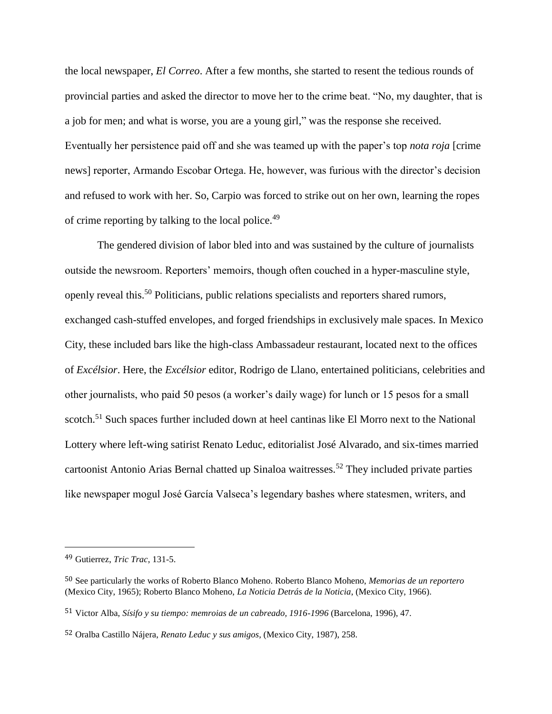the local newspaper, *El Correo*. After a few months, she started to resent the tedious rounds of provincial parties and asked the director to move her to the crime beat. "No, my daughter, that is a job for men; and what is worse, you are a young girl," was the response she received. Eventually her persistence paid off and she was teamed up with the paper's top *nota roja* [crime news] reporter, Armando Escobar Ortega. He, however, was furious with the director's decision and refused to work with her. So, Carpio was forced to strike out on her own, learning the ropes of crime reporting by talking to the local police.<sup>49</sup>

The gendered division of labor bled into and was sustained by the culture of journalists outside the newsroom. Reporters' memoirs, though often couched in a hyper-masculine style, openly reveal this.<sup>50</sup> Politicians, public relations specialists and reporters shared rumors, exchanged cash-stuffed envelopes, and forged friendships in exclusively male spaces. In Mexico City, these included bars like the high-class Ambassadeur restaurant, located next to the offices of *Excélsior*. Here, the *Excélsior* editor, Rodrigo de Llano, entertained politicians, celebrities and other journalists, who paid 50 pesos (a worker's daily wage) for lunch or 15 pesos for a small scotch.<sup>51</sup> Such spaces further included down at heel cantinas like El Morro next to the National Lottery where left-wing satirist Renato Leduc, editorialist José Alvarado, and six-times married cartoonist Antonio Arias Bernal chatted up Sinaloa waitresses.<sup>52</sup> They included private parties like newspaper mogul José García Valseca's legendary bashes where statesmen, writers, and

<sup>49</sup> Gutierrez, *Tric Trac*, 131-5.

<sup>50</sup> See particularly the works of Roberto Blanco Moheno. Roberto Blanco Moheno, *Memorias de un reportero* (Mexico City, 1965); Roberto Blanco Moheno, *La Noticia Detrás de la Noticia*, (Mexico City, 1966).

<sup>51</sup> Victor Alba, *Sísifo y su tiempo: memroias de un cabreado, 1916-1996* (Barcelona, 1996), 47.

<sup>52</sup> Oralba Castillo Nájera, *Renato Leduc y sus amigos*, (Mexico City, 1987), 258.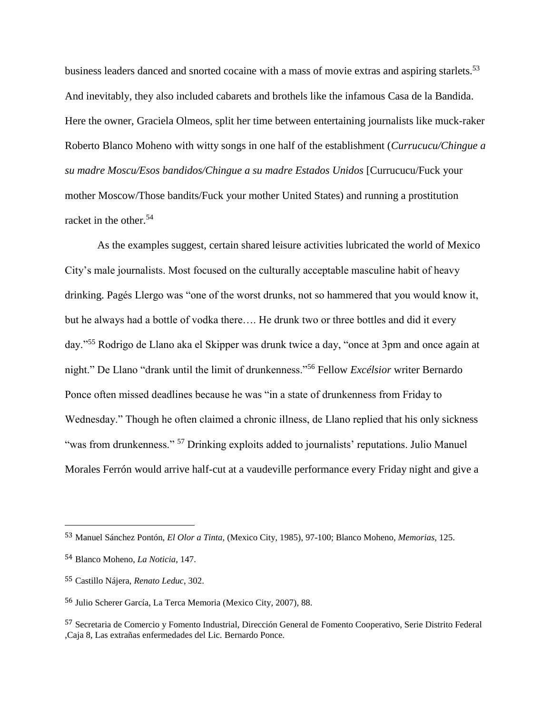business leaders danced and snorted cocaine with a mass of movie extras and aspiring starlets.<sup>53</sup> And inevitably, they also included cabarets and brothels like the infamous Casa de la Bandida. Here the owner, Graciela Olmeos, split her time between entertaining journalists like muck-raker Roberto Blanco Moheno with witty songs in one half of the establishment (*Currucucu/Chingue a su madre Moscu/Esos bandidos/Chingue a su madre Estados Unidos* [Currucucu/Fuck your mother Moscow/Those bandits/Fuck your mother United States) and running a prostitution racket in the other.<sup>54</sup>

As the examples suggest, certain shared leisure activities lubricated the world of Mexico City's male journalists. Most focused on the culturally acceptable masculine habit of heavy drinking. Pagés Llergo was "one of the worst drunks, not so hammered that you would know it, but he always had a bottle of vodka there…. He drunk two or three bottles and did it every day."<sup>55</sup> Rodrigo de Llano aka el Skipper was drunk twice a day, "once at 3pm and once again at night." De Llano "drank until the limit of drunkenness."<sup>56</sup> Fellow *Excélsior* writer Bernardo Ponce often missed deadlines because he was "in a state of drunkenness from Friday to Wednesday." Though he often claimed a chronic illness, de Llano replied that his only sickness "was from drunkenness." <sup>57</sup> Drinking exploits added to journalists' reputations. Julio Manuel Morales Ferrón would arrive half-cut at a vaudeville performance every Friday night and give a

<sup>53</sup> Manuel Sánchez Pontón, *El Olor a Tinta,* (Mexico City, 1985), 97-100; Blanco Moheno, *Memorias*, 125.

<sup>54</sup> Blanco Moheno, *La Noticia*, 147.

<sup>55</sup> Castillo Nájera, *Renato Leduc*, 302.

<sup>56</sup> Julio Scherer García, La Terca Memoria (Mexico City, 2007), 88.

<sup>57</sup> Secretaria de Comercio y Fomento Industrial, Dirección General de Fomento Cooperativo, Serie Distrito Federal ,Caja 8, Las extrañas enfermedades del Lic. Bernardo Ponce.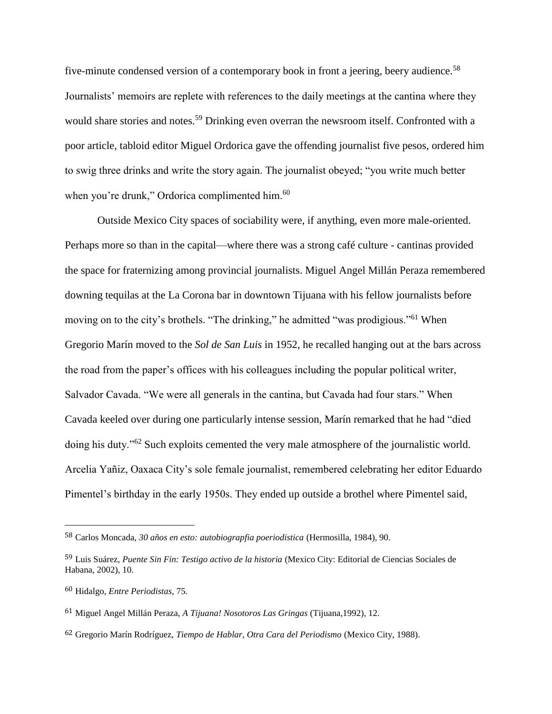five-minute condensed version of a contemporary book in front a jeering, beery audience.<sup>58</sup> Journalists' memoirs are replete with references to the daily meetings at the cantina where they would share stories and notes.<sup>59</sup> Drinking even overran the newsroom itself. Confronted with a poor article, tabloid editor Miguel Ordorica gave the offending journalist five pesos, ordered him to swig three drinks and write the story again. The journalist obeyed; "you write much better when you're drunk," Ordorica complimented him.<sup>60</sup>

Outside Mexico City spaces of sociability were, if anything, even more male-oriented. Perhaps more so than in the capital—where there was a strong café culture - cantinas provided the space for fraternizing among provincial journalists. Miguel Angel Millán Peraza remembered downing tequilas at the La Corona bar in downtown Tijuana with his fellow journalists before moving on to the city's brothels. "The drinking," he admitted "was prodigious."<sup>61</sup> When Gregorio Marín moved to the *Sol de San Luis* in 1952, he recalled hanging out at the bars across the road from the paper's offices with his colleagues including the popular political writer, Salvador Cavada. "We were all generals in the cantina, but Cavada had four stars." When Cavada keeled over during one particularly intense session, Marín remarked that he had "died doing his duty."<sup>62</sup> Such exploits cemented the very male atmosphere of the journalistic world. Arcelia Yañiz, Oaxaca City's sole female journalist, remembered celebrating her editor Eduardo Pimentel's birthday in the early 1950s. They ended up outside a brothel where Pimentel said,

<sup>58</sup> Carlos Moncada, *30 años en esto: autobiograpfia poeriodistica* (Hermosilla, 1984), 90.

<sup>59</sup> Luis Suárez, *Puente Sin Fin: Testigo activo de la historia* (Mexico City: Editorial de Ciencias Sociales de Habana, 2002), 10.

<sup>60</sup> Hidalgo, *Entre Periodistas*, 75.

<sup>61</sup> Miguel Angel Millán Peraza, *A Tijuana! Nosotoros Las Gringas* (Tijuana,1992), 12.

<sup>62</sup> Gregorio Marín Rodríguez, *Tiempo de Hablar, Otra Cara del Periodismo* (Mexico City, 1988).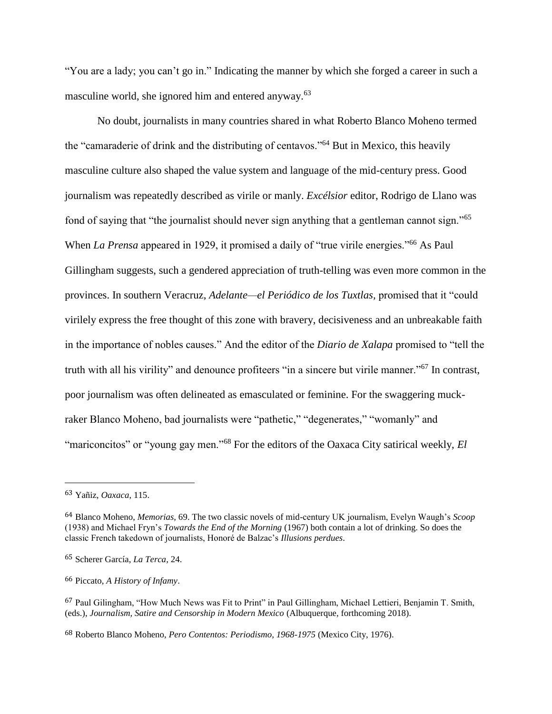"You are a lady; you can't go in." Indicating the manner by which she forged a career in such a masculine world, she ignored him and entered anyway.<sup>63</sup>

No doubt, journalists in many countries shared in what Roberto Blanco Moheno termed the "camaraderie of drink and the distributing of centavos."<sup>64</sup> But in Mexico, this heavily masculine culture also shaped the value system and language of the mid-century press. Good journalism was repeatedly described as virile or manly. *Excélsior* editor, Rodrigo de Llano was fond of saying that "the journalist should never sign anything that a gentleman cannot sign."<sup>65</sup> When *La Prensa* appeared in 1929, it promised a daily of "true virile energies."<sup>66</sup> As Paul Gillingham suggests, such a gendered appreciation of truth-telling was even more common in the provinces. In southern Veracruz, *Adelante—el Periódico de los Tuxtlas,* promised that it "could virilely express the free thought of this zone with bravery, decisiveness and an unbreakable faith in the importance of nobles causes." And the editor of the *Diario de Xalapa* promised to "tell the truth with all his virility" and denounce profiteers "in a sincere but virile manner."<sup>67</sup> In contrast, poor journalism was often delineated as emasculated or feminine. For the swaggering muckraker Blanco Moheno, bad journalists were "pathetic," "degenerates," "womanly" and "mariconcitos" or "young gay men."<sup>68</sup> For the editors of the Oaxaca City satirical weekly, *El* 

 $\overline{a}$ 

66 Piccato, *A History of Infamy*.

<sup>63</sup> Yañiz, *Oaxaca*, 115.

<sup>64</sup> Blanco Moheno, *Memorias*, 69. The two classic novels of mid-century UK journalism, Evelyn Waugh's *Scoop* (1938) and Michael Fryn's *Towards the End of the Morning* (1967) both contain a lot of drinking. So does the classic French takedown of journalists, Honoré de Balzac's *Illusions perdues*.

<sup>65</sup> Scherer García, *La Terca*, 24.

<sup>67</sup> Paul Gilingham, "How Much News was Fit to Print" in Paul Gillingham, Michael Lettieri, Benjamin T. Smith, (eds.), *Journalism, Satire and Censorship in Modern Mexico* (Albuquerque, forthcoming 2018).

<sup>68</sup> Roberto Blanco Moheno, *Pero Contentos: Periodismo, 1968-1975* (Mexico City, 1976).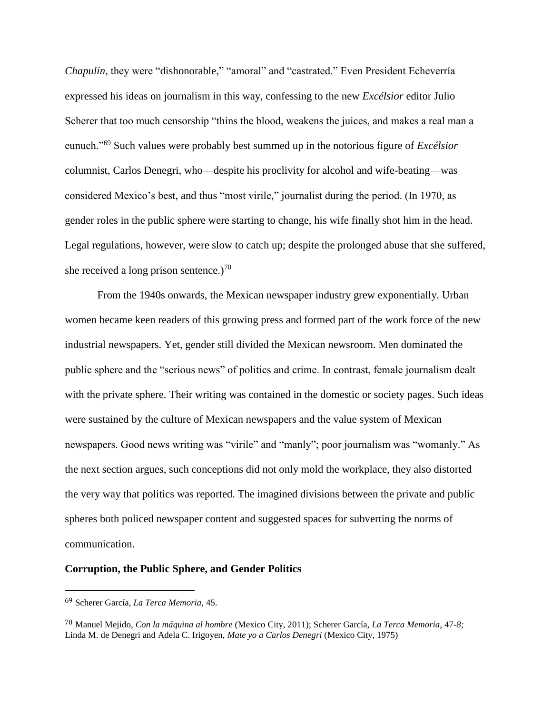*Chapulín*, they were "dishonorable," "amoral" and "castrated." Even President Echeverría expressed his ideas on journalism in this way, confessing to the new *Excélsior* editor Julio Scherer that too much censorship "thins the blood, weakens the juices, and makes a real man a eunuch."<sup>69</sup> Such values were probably best summed up in the notorious figure of *Excélsior*  columnist, Carlos Denegri, who—despite his proclivity for alcohol and wife-beating—was considered Mexico's best, and thus "most virile," journalist during the period. (In 1970, as gender roles in the public sphere were starting to change, his wife finally shot him in the head. Legal regulations, however, were slow to catch up; despite the prolonged abuse that she suffered, she received a long prison sentence.)<sup>70</sup>

From the 1940s onwards, the Mexican newspaper industry grew exponentially. Urban women became keen readers of this growing press and formed part of the work force of the new industrial newspapers. Yet, gender still divided the Mexican newsroom. Men dominated the public sphere and the "serious news" of politics and crime. In contrast, female journalism dealt with the private sphere. Their writing was contained in the domestic or society pages. Such ideas were sustained by the culture of Mexican newspapers and the value system of Mexican newspapers. Good news writing was "virile" and "manly"; poor journalism was "womanly." As the next section argues, such conceptions did not only mold the workplace, they also distorted the very way that politics was reported. The imagined divisions between the private and public spheres both policed newspaper content and suggested spaces for subverting the norms of communication.

# **Corruption, the Public Sphere, and Gender Politics**

<sup>69</sup> Scherer García, *La Terca Memoria,* 45.

<sup>70</sup> Manuel Mejido, *Con la máquina al hombre* (Mexico City, 2011); Scherer García, *La Terca Memoria,* 47-*8;*  Linda M. de Denegri and Adela C. Irigoyen, *Mate yo a Carlos Denegri* (Mexico City, 1975)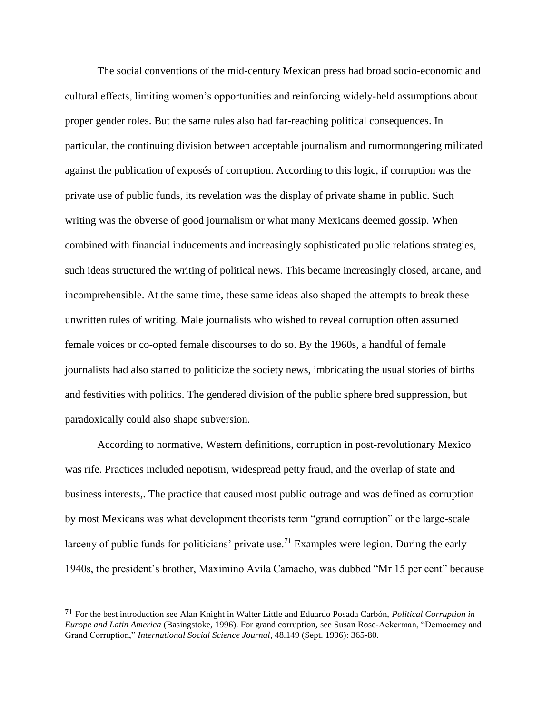The social conventions of the mid-century Mexican press had broad socio-economic and cultural effects, limiting women's opportunities and reinforcing widely-held assumptions about proper gender roles. But the same rules also had far-reaching political consequences. In particular, the continuing division between acceptable journalism and rumormongering militated against the publication of exposés of corruption. According to this logic, if corruption was the private use of public funds, its revelation was the display of private shame in public. Such writing was the obverse of good journalism or what many Mexicans deemed gossip. When combined with financial inducements and increasingly sophisticated public relations strategies, such ideas structured the writing of political news. This became increasingly closed, arcane, and incomprehensible. At the same time, these same ideas also shaped the attempts to break these unwritten rules of writing. Male journalists who wished to reveal corruption often assumed female voices or co-opted female discourses to do so. By the 1960s, a handful of female journalists had also started to politicize the society news, imbricating the usual stories of births and festivities with politics. The gendered division of the public sphere bred suppression, but paradoxically could also shape subversion.

According to normative, Western definitions, corruption in post-revolutionary Mexico was rife. Practices included nepotism, widespread petty fraud, and the overlap of state and business interests,. The practice that caused most public outrage and was defined as corruption by most Mexicans was what development theorists term "grand corruption" or the large-scale larceny of public funds for politicians' private use.<sup>71</sup> Examples were legion. During the early 1940s, the president's brother, Maximino Avila Camacho, was dubbed "Mr 15 per cent" because

<sup>71</sup> For the best introduction see Alan Knight in Walter Little and Eduardo Posada Carbón, *Political Corruption in Europe and Latin America* (Basingstoke, 1996). For grand corruption, see Susan Rose-Ackerman, "Democracy and Grand Corruption," *International Social Science Journal*, 48.149 (Sept. 1996): 365-80.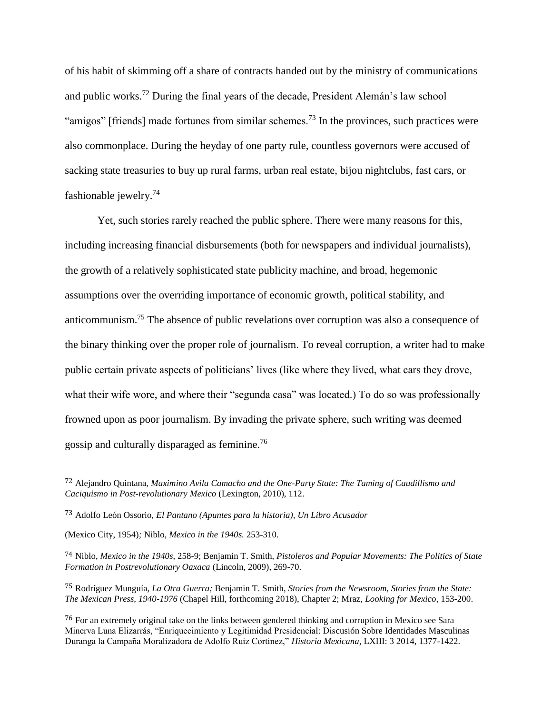of his habit of skimming off a share of contracts handed out by the ministry of communications and public works.<sup>72</sup> During the final years of the decade, President Alemán's law school "amigos" [friends] made fortunes from similar schemes.<sup>73</sup> In the provinces, such practices were also commonplace. During the heyday of one party rule, countless governors were accused of sacking state treasuries to buy up rural farms, urban real estate, bijou nightclubs, fast cars, or fashionable jewelry.<sup>74</sup>

Yet, such stories rarely reached the public sphere. There were many reasons for this, including increasing financial disbursements (both for newspapers and individual journalists), the growth of a relatively sophisticated state publicity machine, and broad, hegemonic assumptions over the overriding importance of economic growth, political stability, and anticommunism.<sup>75</sup> The absence of public revelations over corruption was also a consequence of the binary thinking over the proper role of journalism. To reveal corruption, a writer had to make public certain private aspects of politicians' lives (like where they lived, what cars they drove, what their wife wore, and where their "segunda casa" was located.) To do so was professionally frowned upon as poor journalism. By invading the private sphere, such writing was deemed gossip and culturally disparaged as feminine.<sup>76</sup>

<sup>72</sup> Alejandro Quintana, *Maximino Avila Camacho and the One-Party State: The Taming of Caudillismo and Caciquismo in Post-revolutionary Mexico* (Lexington, 2010), 112.

<sup>73</sup> Adolfo León Ossorio, *El Pantano (Apuntes para la historia), Un Libro Acusador*

<sup>(</sup>Mexico City, 1954)*;* Niblo, *Mexico in the 1940s.* 253-310.

<sup>74</sup> Niblo, *Mexico in the 1940s*, 258-9; Benjamin T. Smith, *Pistoleros and Popular Movements: The Politics of State Formation in Postrevolutionary Oaxaca* (Lincoln, 2009), 269-70.

<sup>75</sup> Rodríguez Munguía, *La Otra Guerra;* Benjamin T. Smith, *Stories from the Newsroom, Stories from the State: The Mexican Press, 1940-1976* (Chapel Hill, forthcoming 2018), Chapter 2; Mraz, *Looking for Mexico*, 153-200.

<sup>76</sup> For an extremely original take on the links between gendered thinking and corruption in Mexico see Sara Minerva Luna Elizarrás, "Enriquecimiento y Legitimidad Presidencial: Discusión Sobre Identidades Masculinas Duranga la Campaña Moralizadora de Adolfo Ruiz Cortinez," *Historia Mexicana,* LXIII: 3 2014, 1377-1422.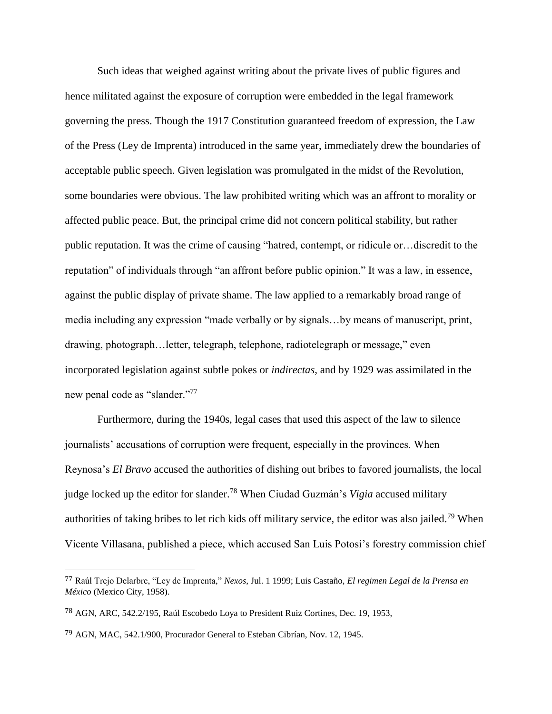Such ideas that weighed against writing about the private lives of public figures and hence militated against the exposure of corruption were embedded in the legal framework governing the press. Though the 1917 Constitution guaranteed freedom of expression, the Law of the Press (Ley de Imprenta) introduced in the same year, immediately drew the boundaries of acceptable public speech. Given legislation was promulgated in the midst of the Revolution, some boundaries were obvious. The law prohibited writing which was an affront to morality or affected public peace. But, the principal crime did not concern political stability, but rather public reputation. It was the crime of causing "hatred, contempt, or ridicule or…discredit to the reputation" of individuals through "an affront before public opinion." It was a law, in essence, against the public display of private shame. The law applied to a remarkably broad range of media including any expression "made verbally or by signals…by means of manuscript, print, drawing, photograph…letter, telegraph, telephone, radiotelegraph or message," even incorporated legislation against subtle pokes or *indirectas*, and by 1929 was assimilated in the new penal code as "slander."<sup>77</sup>

Furthermore, during the 1940s, legal cases that used this aspect of the law to silence journalists' accusations of corruption were frequent, especially in the provinces. When Reynosa's *El Bravo* accused the authorities of dishing out bribes to favored journalists, the local judge locked up the editor for slander.<sup>78</sup> When Ciudad Guzmán's *Vigia* accused military authorities of taking bribes to let rich kids off military service, the editor was also jailed.<sup>79</sup> When Vicente Villasana, published a piece, which accused San Luis Potosí's forestry commission chief

<sup>77</sup> Raúl Trejo Delarbre, "Ley de Imprenta," *Nexos*, Jul. 1 1999; Luis Castaño, *El regimen Legal de la Prensa en México* (Mexico City, 1958).

<sup>78</sup> AGN, ARC, 542.2/195, Raúl Escobedo Loya to President Ruiz Cortines, Dec. 19, 1953,

<sup>79</sup> AGN, MAC, 542.1/900, Procurador General to Esteban Cibrían, Nov. 12, 1945.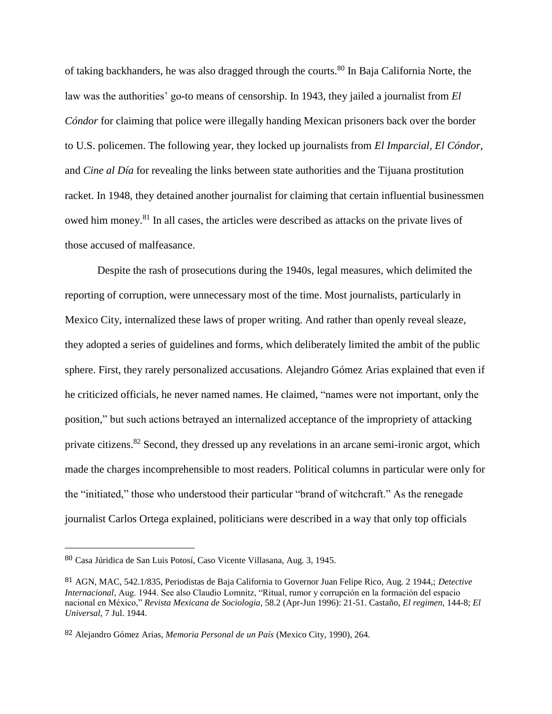of taking backhanders, he was also dragged through the courts.<sup>80</sup> In Baja California Norte, the law was the authorities' go-to means of censorship. In 1943, they jailed a journalist from *El Cóndor* for claiming that police were illegally handing Mexican prisoners back over the border to U.S. policemen. The following year, they locked up journalists from *El Imparcial, El Cóndor,*  and *Cine al Día* for revealing the links between state authorities and the Tijuana prostitution racket. In 1948, they detained another journalist for claiming that certain influential businessmen owed him money.<sup>81</sup> In all cases, the articles were described as attacks on the private lives of those accused of malfeasance.

Despite the rash of prosecutions during the 1940s, legal measures, which delimited the reporting of corruption, were unnecessary most of the time. Most journalists, particularly in Mexico City, internalized these laws of proper writing. And rather than openly reveal sleaze, they adopted a series of guidelines and forms, which deliberately limited the ambit of the public sphere. First, they rarely personalized accusations. Alejandro Gómez Arias explained that even if he criticized officials, he never named names. He claimed, "names were not important, only the position," but such actions betrayed an internalized acceptance of the impropriety of attacking private citizens.<sup>82</sup> Second, they dressed up any revelations in an arcane semi-ironic argot, which made the charges incomprehensible to most readers. Political columns in particular were only for the "initiated," those who understood their particular "brand of witchcraft." As the renegade journalist Carlos Ortega explained, politicians were described in a way that only top officials

<sup>80</sup> Casa Júridica de San Luis Potosí, Caso Vicente Villasana, Aug. 3, 1945.

<sup>81</sup> AGN, MAC, 542.1/835, Periodistas de Baja California to Governor Juan Felipe Rico, Aug. 2 1944,; *Detective Internacional*, Aug. 1944. See also Claudio Lomnitz, "Ritual, rumor y corrupción en la formación del espacio nacional en México," *Revista Mexicana de Sociologia*, 58.2 (Apr-Jun 1996): 21-51. Castaño, *El regimen*, 144-8; *El Universal*, 7 Jul. 1944.

<sup>82</sup> Alejandro Gómez Arias, *Memoria Personal de un País* (Mexico City, 1990), 264.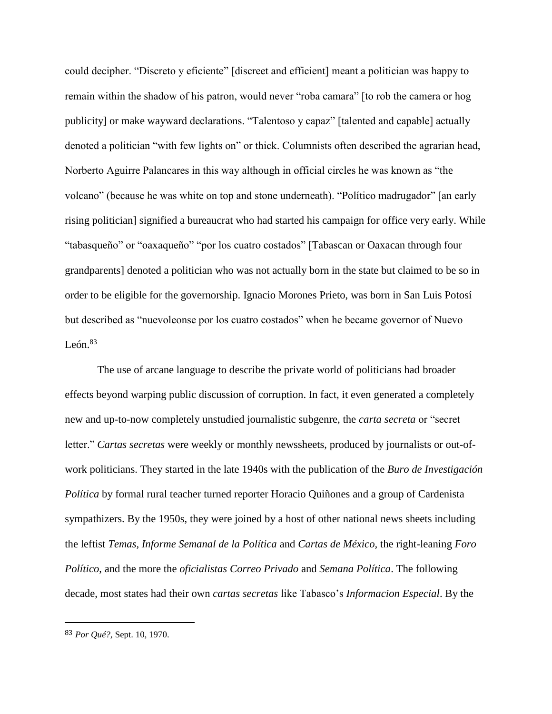could decipher. "Discreto y eficiente" [discreet and efficient] meant a politician was happy to remain within the shadow of his patron, would never "roba camara" [to rob the camera or hog publicity] or make wayward declarations. "Talentoso y capaz" [talented and capable] actually denoted a politician "with few lights on" or thick. Columnists often described the agrarian head, Norberto Aguirre Palancares in this way although in official circles he was known as "the volcano" (because he was white on top and stone underneath). "Político madrugador" [an early rising politician] signified a bureaucrat who had started his campaign for office very early. While "tabasqueño" or "oaxaqueño" "por los cuatro costados" [Tabascan or Oaxacan through four grandparents] denoted a politician who was not actually born in the state but claimed to be so in order to be eligible for the governorship. Ignacio Morones Prieto, was born in San Luis Potosí but described as "nuevoleonse por los cuatro costados" when he became governor of Nuevo León. $83$ 

The use of arcane language to describe the private world of politicians had broader effects beyond warping public discussion of corruption. In fact, it even generated a completely new and up-to-now completely unstudied journalistic subgenre, the *carta secreta* or "secret letter." *Cartas secretas* were weekly or monthly newssheets, produced by journalists or out-ofwork politicians. They started in the late 1940s with the publication of the *Buro de Investigación Política* by formal rural teacher turned reporter Horacio Quiñones and a group of Cardenista sympathizers. By the 1950s, they were joined by a host of other national news sheets including the leftist *Temas, Informe Semanal de la Política* and *Cartas de México,* the right-leaning *Foro Político*, and the more the *oficialistas Correo Privado* and *Semana Política*. The following decade, most states had their own *cartas secretas* like Tabasco's *Informacion Especial*. By the

<sup>83</sup> *Por Qué?,* Sept. 10, 1970.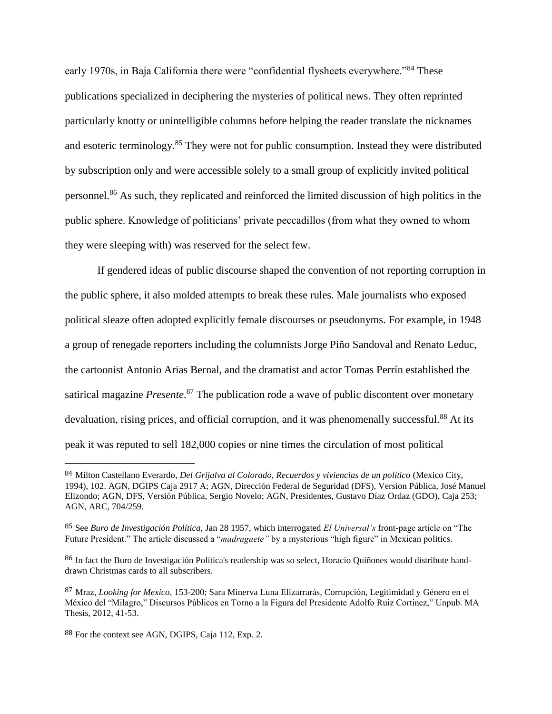early 1970s, in Baja California there were "confidential flysheets everywhere."<sup>84</sup> These publications specialized in deciphering the mysteries of political news. They often reprinted particularly knotty or unintelligible columns before helping the reader translate the nicknames and esoteric terminology.<sup>85</sup> They were not for public consumption. Instead they were distributed by subscription only and were accessible solely to a small group of explicitly invited political personnel.<sup>86</sup> As such, they replicated and reinforced the limited discussion of high politics in the public sphere. Knowledge of politicians' private peccadillos (from what they owned to whom they were sleeping with) was reserved for the select few.

If gendered ideas of public discourse shaped the convention of not reporting corruption in the public sphere, it also molded attempts to break these rules. Male journalists who exposed political sleaze often adopted explicitly female discourses or pseudonyms. For example, in 1948 a group of renegade reporters including the columnists Jorge Piño Sandoval and Renato Leduc, the cartoonist Antonio Arias Bernal, and the dramatist and actor Tomas Perrín established the satirical magazine *Presente*. <sup>87</sup> The publication rode a wave of public discontent over monetary devaluation, rising prices, and official corruption, and it was phenomenally successful.<sup>88</sup> At its peak it was reputed to sell 182,000 copies or nine times the circulation of most political

<sup>84</sup> Milton Castellano Everardo, *Del Grijalva al Colorado, Recuerdos y viviencias de un político* (Mexico City, 1994), 102. AGN, DGIPS Caja 2917 A; AGN, Dirección Federal de Seguridad (DFS), Version Pública, José Manuel Elizondo; AGN, DFS, Versión Pública, Sergio Novelo; AGN, Presidentes, Gustavo Díaz Ordaz (GDO), Caja 253; AGN, ARC, 704/259.

<sup>85</sup> See *Buro de Investigación Política,* Jan 28 1957, which interrogated *El Universal's* front-page article on "The Future President." The article discussed a "*madruguete"* by a mysterious "high figure" in Mexican politics.

<sup>86</sup> In fact the Buro de Investigación Política's readership was so select, Horacio Quiñones would distribute handdrawn Christmas cards to all subscribers.

<sup>87</sup> Mraz, *Looking for Mexico*, 153-200; Sara Minerva Luna Elizarrarás, Corrupción, Legitimidad y Género en el México del "Milagro," Discursos Públicos en Torno a la Figura del Presidente Adolfo Ruiz Cortinez," Unpub. MA Thesis, 2012, 41-53.

<sup>88</sup> For the context see AGN, DGIPS, Caja 112, Exp. 2.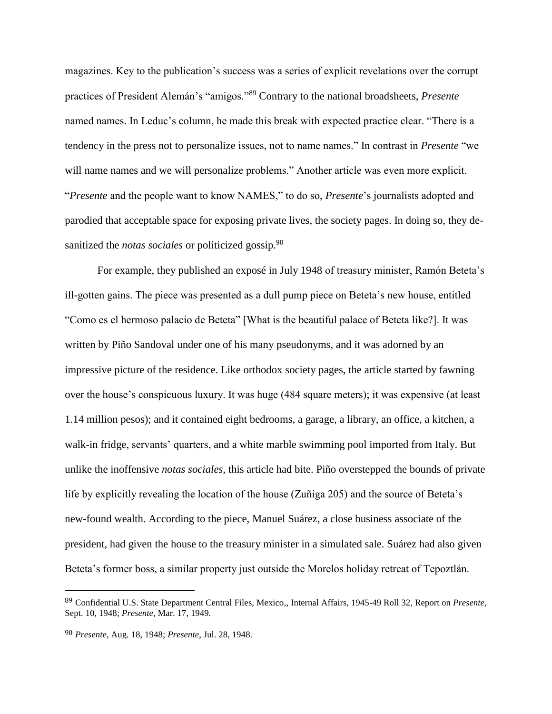magazines. Key to the publication's success was a series of explicit revelations over the corrupt practices of President Alemán's "amigos."<sup>89</sup> Contrary to the national broadsheets, *Presente* named names. In Leduc's column, he made this break with expected practice clear. "There is a tendency in the press not to personalize issues, not to name names." In contrast in *Presente* "we will name names and we will personalize problems." Another article was even more explicit. "*Presente* and the people want to know NAMES," to do so, *Presente*'s journalists adopted and parodied that acceptable space for exposing private lives, the society pages. In doing so, they desanitized the *notas sociales* or politicized gossip.<sup>90</sup>

For example, they published an exposé in July 1948 of treasury minister, Ramón Beteta's ill-gotten gains. The piece was presented as a dull pump piece on Beteta's new house, entitled "Como es el hermoso palacio de Beteta" [What is the beautiful palace of Beteta like?]. It was written by Piño Sandoval under one of his many pseudonyms, and it was adorned by an impressive picture of the residence. Like orthodox society pages, the article started by fawning over the house's conspicuous luxury. It was huge (484 square meters); it was expensive (at least 1.14 million pesos); and it contained eight bedrooms, a garage, a library, an office, a kitchen, a walk-in fridge, servants' quarters, and a white marble swimming pool imported from Italy. But unlike the inoffensive *notas sociales,* this article had bite. Piño overstepped the bounds of private life by explicitly revealing the location of the house (Zuñiga 205) and the source of Beteta's new-found wealth. According to the piece, Manuel Suárez, a close business associate of the president, had given the house to the treasury minister in a simulated sale. Suárez had also given Beteta's former boss, a similar property just outside the Morelos holiday retreat of Tepoztlán.

<sup>89</sup> Confidential U.S. State Department Central Files, Mexico,, Internal Affairs, 1945-49 Roll 32, Report on *Presente*, Sept. 10, 1948; *Presente,* Mar. 17, 1949.

<sup>90</sup> *Presente*, Aug. 18, 1948; *Presente*, Jul. 28, 1948.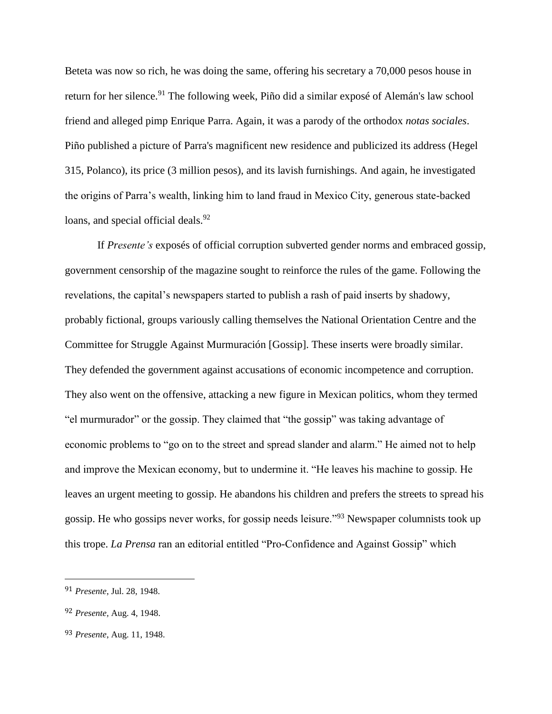Beteta was now so rich, he was doing the same, offering his secretary a 70,000 pesos house in return for her silence.<sup>91</sup> The following week, Piño did a similar exposé of Alemán's law school friend and alleged pimp Enrique Parra. Again, it was a parody of the orthodox *notas sociales*. Piño published a picture of Parra's magnificent new residence and publicized its address (Hegel 315, Polanco), its price (3 million pesos), and its lavish furnishings. And again, he investigated the origins of Parra's wealth, linking him to land fraud in Mexico City, generous state-backed loans, and special official deals.<sup>92</sup>

If *Presente's* exposés of official corruption subverted gender norms and embraced gossip, government censorship of the magazine sought to reinforce the rules of the game. Following the revelations, the capital's newspapers started to publish a rash of paid inserts by shadowy, probably fictional, groups variously calling themselves the National Orientation Centre and the Committee for Struggle Against Murmuración [Gossip]. These inserts were broadly similar. They defended the government against accusations of economic incompetence and corruption. They also went on the offensive, attacking a new figure in Mexican politics, whom they termed "el murmurador" or the gossip. They claimed that "the gossip" was taking advantage of economic problems to "go on to the street and spread slander and alarm." He aimed not to help and improve the Mexican economy, but to undermine it. "He leaves his machine to gossip. He leaves an urgent meeting to gossip. He abandons his children and prefers the streets to spread his gossip. He who gossips never works, for gossip needs leisure."<sup>93</sup> Newspaper columnists took up this trope. *La Prensa* ran an editorial entitled "Pro-Confidence and Against Gossip" which

<sup>91</sup> *Presente*, Jul. 28, 1948.

<sup>92</sup> *Presente,* Aug. 4, 1948.

<sup>93</sup> *Presente*, Aug. 11, 1948.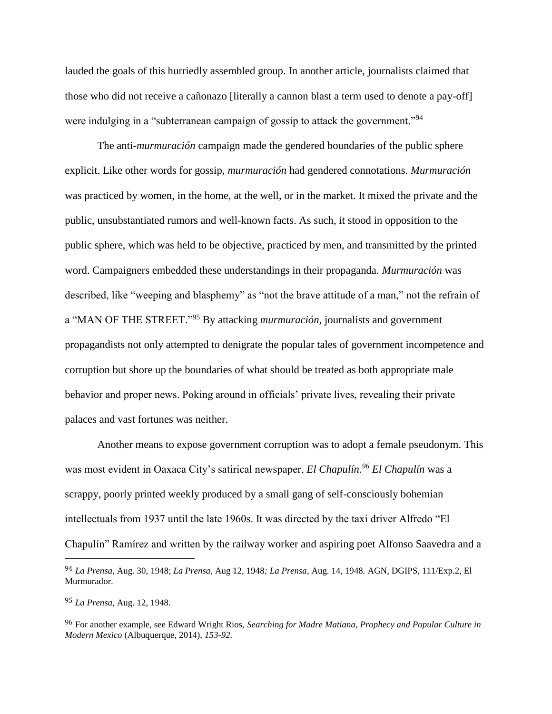lauded the goals of this hurriedly assembled group. In another article, journalists claimed that those who did not receive a cañonazo [literally a cannon blast a term used to denote a pay-off] were indulging in a "subterranean campaign of gossip to attack the government."<sup>94</sup>

The anti-*murmuración* campaign made the gendered boundaries of the public sphere explicit. Like other words for gossip, *murmuración* had gendered connotations. *Murmuración* was practiced by women, in the home, at the well, or in the market. It mixed the private and the public, unsubstantiated rumors and well-known facts. As such, it stood in opposition to the public sphere, which was held to be objective, practiced by men, and transmitted by the printed word. Campaigners embedded these understandings in their propaganda. *Murmuración* was described, like "weeping and blasphemy" as "not the brave attitude of a man," not the refrain of a "MAN OF THE STREET."<sup>95</sup> By attacking *murmuración,* journalists and government propagandists not only attempted to denigrate the popular tales of government incompetence and corruption but shore up the boundaries of what should be treated as both appropriate male behavior and proper news. Poking around in officials' private lives, revealing their private palaces and vast fortunes was neither.

Another means to expose government corruption was to adopt a female pseudonym. This was most evident in Oaxaca City's satirical newspaper, *El Chapulín.<sup>96</sup> El Chapulín* was a scrappy, poorly printed weekly produced by a small gang of self-consciously bohemian intellectuals from 1937 until the late 1960s. It was directed by the taxi driver Alfredo "El Chapulín" Ramírez and written by the railway worker and aspiring poet Alfonso Saavedra and a

<sup>94</sup> *La Prensa*, Aug. 30, 1948; *La Prensa*, Aug 12, 1948*; La Prensa*, Aug. 14, 1948. AGN, DGIPS, 111/Exp.2, El Murmurador.

<sup>95</sup> *La Prensa*, Aug. 12, 1948.

<sup>96</sup> For another example, see Edward Wright Rios, *Searching for Madre Matiana, Prophecy and Popular Culture in Modern Mexico* (Albuquerque, 2014), *153-92.*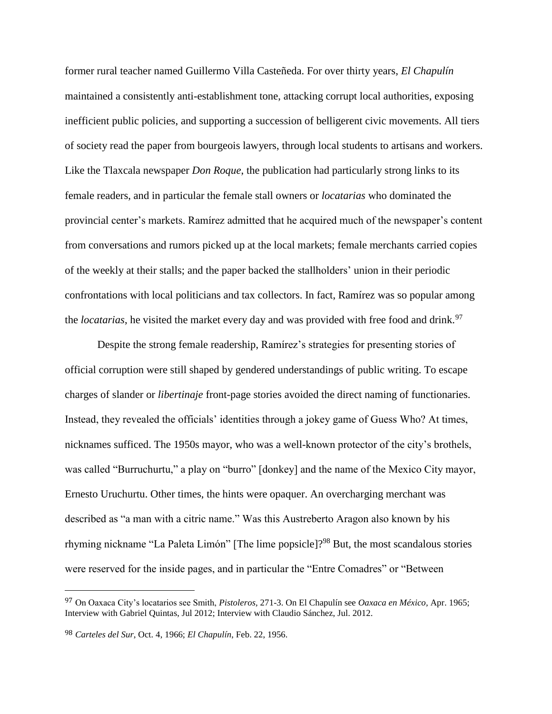former rural teacher named Guillermo Villa Casteñeda. For over thirty years, *El Chapulín* maintained a consistently anti-establishment tone, attacking corrupt local authorities, exposing inefficient public policies, and supporting a succession of belligerent civic movements. All tiers of society read the paper from bourgeois lawyers, through local students to artisans and workers. Like the Tlaxcala newspaper *Don Roque*, the publication had particularly strong links to its female readers, and in particular the female stall owners or *locatarias* who dominated the provincial center's markets. Ramírez admitted that he acquired much of the newspaper's content from conversations and rumors picked up at the local markets; female merchants carried copies of the weekly at their stalls; and the paper backed the stallholders' union in their periodic confrontations with local politicians and tax collectors. In fact, Ramírez was so popular among the *locatarias*, he visited the market every day and was provided with free food and drink.<sup>97</sup>

Despite the strong female readership, Ramírez's strategies for presenting stories of official corruption were still shaped by gendered understandings of public writing. To escape charges of slander or *libertinaje* front-page stories avoided the direct naming of functionaries. Instead, they revealed the officials' identities through a jokey game of Guess Who? At times, nicknames sufficed. The 1950s mayor, who was a well-known protector of the city's brothels, was called "Burruchurtu," a play on "burro" [donkey] and the name of the Mexico City mayor, Ernesto Uruchurtu. Other times, the hints were opaquer. An overcharging merchant was described as "a man with a citric name." Was this Austreberto Aragon also known by his rhyming nickname "La Paleta Limón" [The lime popsicle]?<sup>98</sup> But, the most scandalous stories were reserved for the inside pages, and in particular the "Entre Comadres" or "Between

<sup>97</sup> On Oaxaca City's locatarios see Smith, *Pistoleros,* 271-3. On El Chapulín see *Oaxaca en México,* Apr. 1965; Interview with Gabriel Quintas, Jul 2012; Interview with Claudio Sánchez, Jul. 2012.

<sup>98</sup> *Carteles del Sur*, Oct. 4, 1966; *El Chapulín*, Feb. 22, 1956.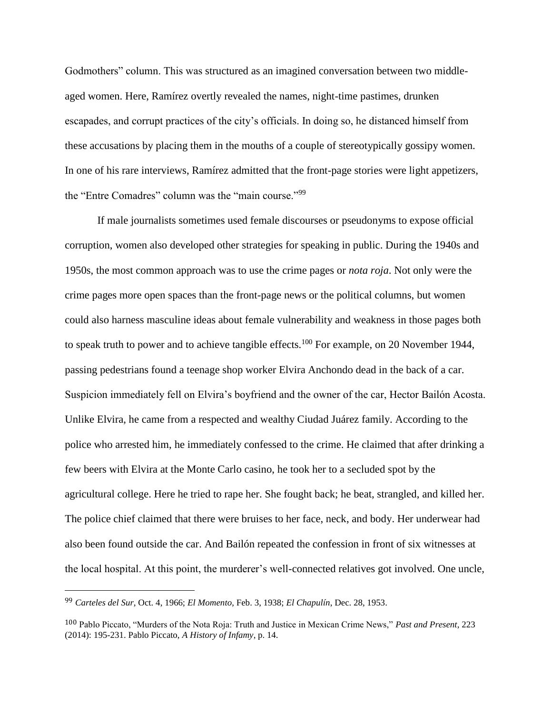Godmothers" column. This was structured as an imagined conversation between two middleaged women. Here, Ramírez overtly revealed the names, night-time pastimes, drunken escapades, and corrupt practices of the city's officials. In doing so, he distanced himself from these accusations by placing them in the mouths of a couple of stereotypically gossipy women. In one of his rare interviews, Ramírez admitted that the front-page stories were light appetizers, the "Entre Comadres" column was the "main course."<sup>99</sup>

If male journalists sometimes used female discourses or pseudonyms to expose official corruption, women also developed other strategies for speaking in public. During the 1940s and 1950s, the most common approach was to use the crime pages or *nota roja*. Not only were the crime pages more open spaces than the front-page news or the political columns, but women could also harness masculine ideas about female vulnerability and weakness in those pages both to speak truth to power and to achieve tangible effects.<sup>100</sup> For example, on 20 November 1944, passing pedestrians found a teenage shop worker Elvira Anchondo dead in the back of a car. Suspicion immediately fell on Elvira's boyfriend and the owner of the car, Hector Bailón Acosta. Unlike Elvira, he came from a respected and wealthy Ciudad Juárez family. According to the police who arrested him, he immediately confessed to the crime. He claimed that after drinking a few beers with Elvira at the Monte Carlo casino, he took her to a secluded spot by the agricultural college. Here he tried to rape her. She fought back; he beat, strangled, and killed her. The police chief claimed that there were bruises to her face, neck, and body. Her underwear had also been found outside the car. And Bailón repeated the confession in front of six witnesses at the local hospital. At this point, the murderer's well-connected relatives got involved. One uncle,

<sup>99</sup> *Carteles del Sur*, Oct. 4, 1966; *El Momento*, Feb. 3, 1938; *El Chapulín*, Dec. 28, 1953.

<sup>100</sup> Pablo Piccato, "Murders of the Nota Roja: Truth and Justice in Mexican Crime News," *Past and Present*, 223 (2014): 195-231. Pablo Piccato, *A History of Infamy*, p. 14.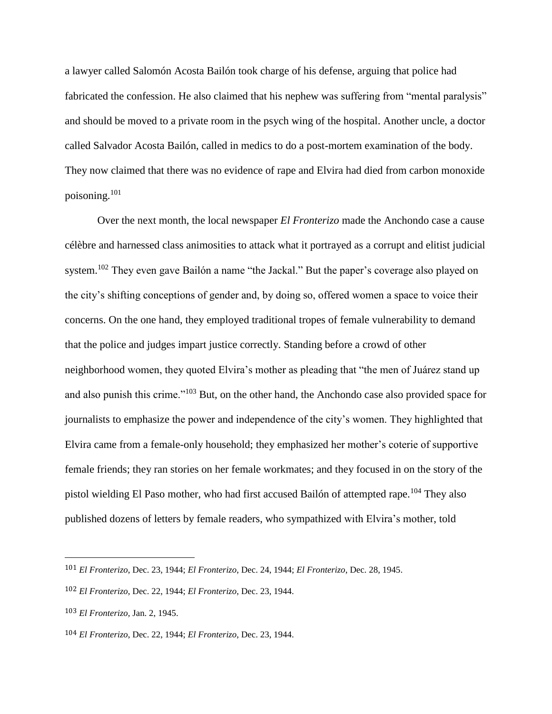a lawyer called Salomón Acosta Bailón took charge of his defense, arguing that police had fabricated the confession. He also claimed that his nephew was suffering from "mental paralysis" and should be moved to a private room in the psych wing of the hospital. Another uncle, a doctor called Salvador Acosta Bailón, called in medics to do a post-mortem examination of the body. They now claimed that there was no evidence of rape and Elvira had died from carbon monoxide poisoning.<sup>101</sup>

Over the next month, the local newspaper *El Fronterizo* made the Anchondo case a cause célèbre and harnessed class animosities to attack what it portrayed as a corrupt and elitist judicial system.<sup>102</sup> They even gave Bailón a name "the Jackal." But the paper's coverage also played on the city's shifting conceptions of gender and, by doing so, offered women a space to voice their concerns. On the one hand, they employed traditional tropes of female vulnerability to demand that the police and judges impart justice correctly. Standing before a crowd of other neighborhood women, they quoted Elvira's mother as pleading that "the men of Juárez stand up and also punish this crime."<sup>103</sup> But, on the other hand, the Anchondo case also provided space for journalists to emphasize the power and independence of the city's women. They highlighted that Elvira came from a female-only household; they emphasized her mother's coterie of supportive female friends; they ran stories on her female workmates; and they focused in on the story of the pistol wielding El Paso mother, who had first accused Bailón of attempted rape.<sup>104</sup> They also published dozens of letters by female readers, who sympathized with Elvira's mother, told

<sup>101</sup> *El Fronterizo*, Dec. 23, 1944; *El Fronterizo*, Dec. 24, 1944; *El Fronterizo*, Dec. 28, 1945.

<sup>102</sup> *El Fronterizo*, Dec. 22, 1944; *El Fronterizo*, Dec. 23, 1944.

<sup>103</sup> *El Fronterizo,* Jan. 2, 1945.

<sup>104</sup> *El Fronterizo*, Dec. 22, 1944; *El Fronterizo*, Dec. 23, 1944.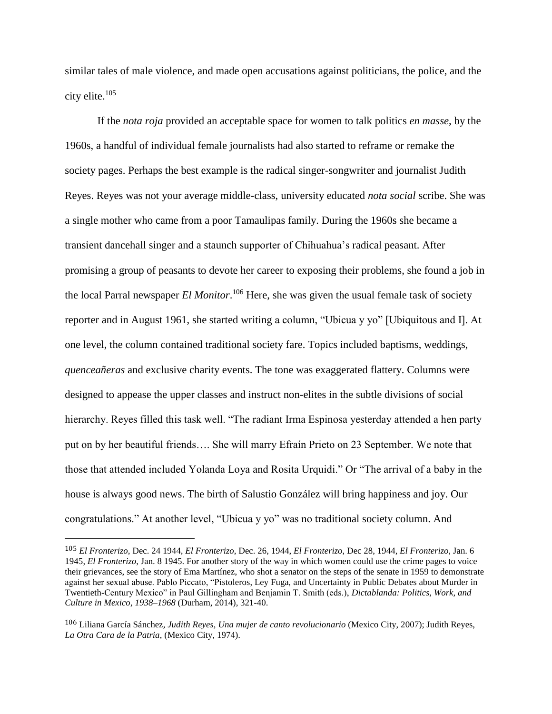similar tales of male violence, and made open accusations against politicians, the police, and the city elite.<sup>105</sup>

If the *nota roja* provided an acceptable space for women to talk politics *en masse*, by the 1960s, a handful of individual female journalists had also started to reframe or remake the society pages. Perhaps the best example is the radical singer-songwriter and journalist Judith Reyes. Reyes was not your average middle-class, university educated *nota social* scribe. She was a single mother who came from a poor Tamaulipas family. During the 1960s she became a transient dancehall singer and a staunch supporter of Chihuahua's radical peasant. After promising a group of peasants to devote her career to exposing their problems, she found a job in the local Parral newspaper *El Monitor*. <sup>106</sup> Here, she was given the usual female task of society reporter and in August 1961, she started writing a column, "Ubicua y yo" [Ubiquitous and I]. At one level, the column contained traditional society fare. Topics included baptisms, weddings, *quenceañeras* and exclusive charity events. The tone was exaggerated flattery. Columns were designed to appease the upper classes and instruct non-elites in the subtle divisions of social hierarchy. Reyes filled this task well. "The radiant Irma Espinosa yesterday attended a hen party put on by her beautiful friends…. She will marry Efraín Prieto on 23 September. We note that those that attended included Yolanda Loya and Rosita Urquidi." Or "The arrival of a baby in the house is always good news. The birth of Salustio González will bring happiness and joy. Our congratulations." At another level, "Ubicua y yo" was no traditional society column. And

<sup>105</sup> *El Fronterizo*, Dec. 24 1944, *El Fronterizo*, Dec. 26, 1944, *El Fronterizo*, Dec 28, 1944, *El Fronterizo*, Jan. 6 1945, *El Fronterizo*, Jan. 8 1945. For another story of the way in which women could use the crime pages to voice their grievances, see the story of Ema Martínez, who shot a senator on the steps of the senate in 1959 to demonstrate against her sexual abuse. Pablo Piccato, "Pistoleros, Ley Fuga, and Uncertainty in Public Debates about Murder in Twentieth-Century Mexico" in Paul Gillingham and Benjamin T. Smith (eds.), *Dictablanda: Politics, Work, and Culture in Mexico, 1938–1968* (Durham, 2014), 321-40.

<sup>106</sup> Liliana García Sánchez*, Judith Reyes, Una mujer de canto revolucionario* (Mexico City, 2007); Judith Reyes, *La Otra Cara de la Patria*, (Mexico City, 1974).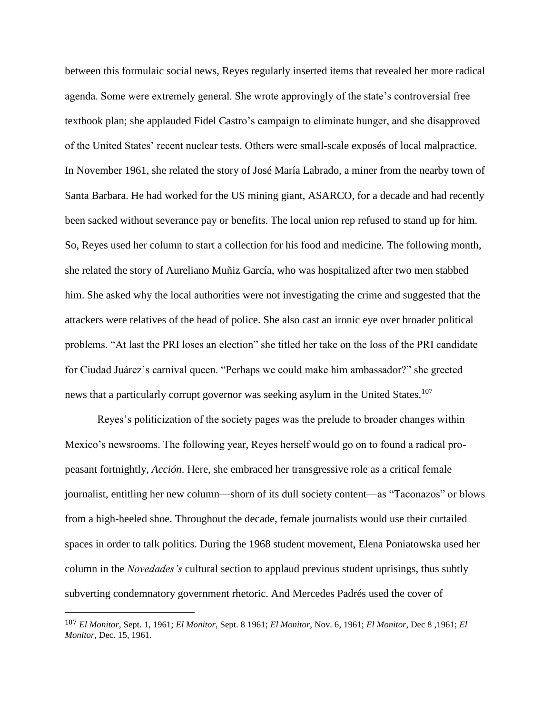between this formulaic social news, Reyes regularly inserted items that revealed her more radical agenda. Some were extremely general. She wrote approvingly of the state's controversial free textbook plan; she applauded Fidel Castro's campaign to eliminate hunger, and she disapproved of the United States' recent nuclear tests. Others were small-scale exposés of local malpractice. In November 1961, she related the story of José María Labrado, a miner from the nearby town of Santa Barbara. He had worked for the US mining giant, ASARCO, for a decade and had recently been sacked without severance pay or benefits. The local union rep refused to stand up for him. So, Reyes used her column to start a collection for his food and medicine. The following month, she related the story of Aureliano Muñiz García, who was hospitalized after two men stabbed him. She asked why the local authorities were not investigating the crime and suggested that the attackers were relatives of the head of police. She also cast an ironic eye over broader political problems. "At last the PRI loses an election" she titled her take on the loss of the PRI candidate for Ciudad Juárez's carnival queen. "Perhaps we could make him ambassador?" she greeted news that a particularly corrupt governor was seeking asylum in the United States.<sup>107</sup>

Reyes's politicization of the society pages was the prelude to broader changes within Mexico's newsrooms. The following year, Reyes herself would go on to found a radical propeasant fortnightly, *Acción*. Here, she embraced her transgressive role as a critical female journalist, entitling her new column—shorn of its dull society content—as "Taconazos" or blows from a high-heeled shoe. Throughout the decade, female journalists would use their curtailed spaces in order to talk politics. During the 1968 student movement, Elena Poniatowska used her column in the *Novedades's* cultural section to applaud previous student uprisings, thus subtly subverting condemnatory government rhetoric. And Mercedes Padrés used the cover of

<sup>107</sup> *El Monitor*, Sept. 1, 1961; *El Monitor*, Sept. 8 1961; *El Monitor*, Nov. 6, 1961; *El Monitor*, Dec 8 ,1961; *El Monitor*, Dec. 15, 1961.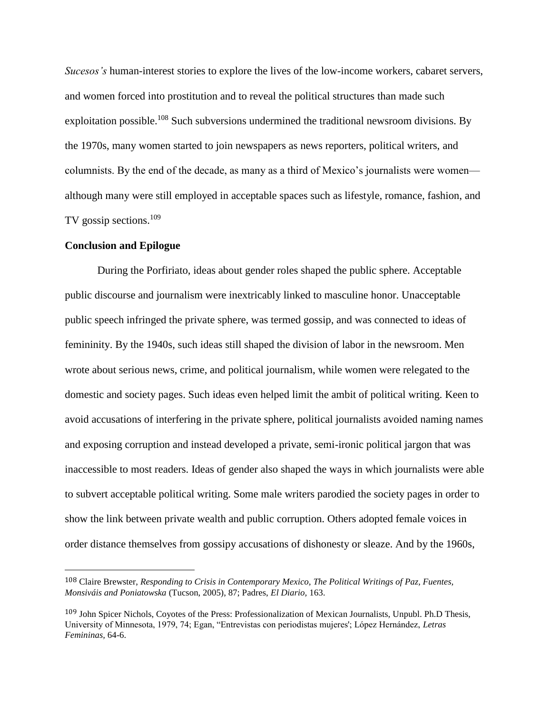*Sucesos's* human-interest stories to explore the lives of the low-income workers, cabaret servers, and women forced into prostitution and to reveal the political structures than made such exploitation possible.<sup>108</sup> Such subversions undermined the traditional newsroom divisions. By the 1970s, many women started to join newspapers as news reporters, political writers, and columnists. By the end of the decade, as many as a third of Mexico's journalists were women although many were still employed in acceptable spaces such as lifestyle, romance, fashion, and TV gossip sections.<sup>109</sup>

## **Conclusion and Epilogue**

l

During the Porfiriato, ideas about gender roles shaped the public sphere. Acceptable public discourse and journalism were inextricably linked to masculine honor. Unacceptable public speech infringed the private sphere, was termed gossip, and was connected to ideas of femininity. By the 1940s, such ideas still shaped the division of labor in the newsroom. Men wrote about serious news, crime, and political journalism, while women were relegated to the domestic and society pages. Such ideas even helped limit the ambit of political writing. Keen to avoid accusations of interfering in the private sphere, political journalists avoided naming names and exposing corruption and instead developed a private, semi-ironic political jargon that was inaccessible to most readers. Ideas of gender also shaped the ways in which journalists were able to subvert acceptable political writing. Some male writers parodied the society pages in order to show the link between private wealth and public corruption. Others adopted female voices in order distance themselves from gossipy accusations of dishonesty or sleaze. And by the 1960s,

<sup>108</sup> Claire Brewster, *Responding to Crisis in Contemporary Mexico, The Political Writings of Paz, Fuentes, Monsiváis and Poniatowska* (Tucson, 2005), 87; Padres, *El Diario,* 163.

<sup>109</sup> John Spicer Nichols, Coyotes of the Press: Professionalization of Mexican Journalists, Unpubl. Ph.D Thesis, University of Minnesota, 1979, 74; Egan, "Entrevistas con periodistas mujeres'; López Hernández, *Letras Femininas,* 64-6.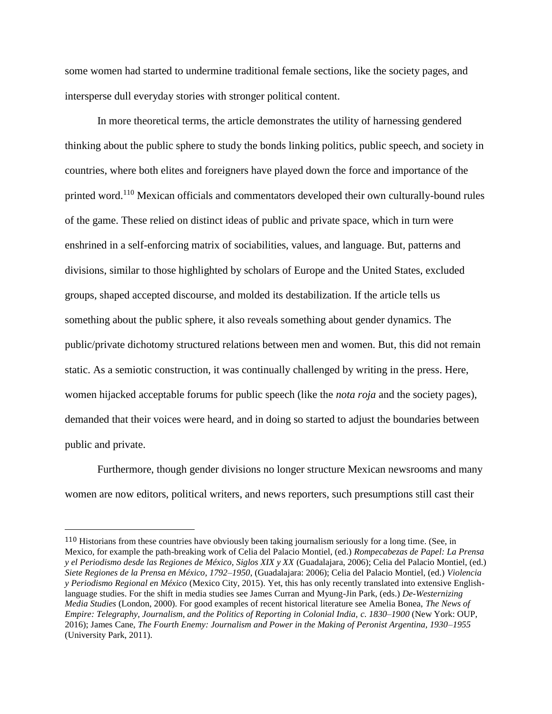some women had started to undermine traditional female sections, like the society pages, and intersperse dull everyday stories with stronger political content.

In more theoretical terms, the article demonstrates the utility of harnessing gendered thinking about the public sphere to study the bonds linking politics, public speech, and society in countries, where both elites and foreigners have played down the force and importance of the printed word.<sup>110</sup> Mexican officials and commentators developed their own culturally-bound rules of the game. These relied on distinct ideas of public and private space, which in turn were enshrined in a self-enforcing matrix of sociabilities, values, and language. But, patterns and divisions, similar to those highlighted by scholars of Europe and the United States, excluded groups, shaped accepted discourse, and molded its destabilization. If the article tells us something about the public sphere, it also reveals something about gender dynamics. The public/private dichotomy structured relations between men and women. But, this did not remain static. As a semiotic construction, it was continually challenged by writing in the press. Here, women hijacked acceptable forums for public speech (like the *nota roja* and the society pages), demanded that their voices were heard, and in doing so started to adjust the boundaries between public and private.

Furthermore, though gender divisions no longer structure Mexican newsrooms and many women are now editors, political writers, and news reporters, such presumptions still cast their

<sup>110</sup> Historians from these countries have obviously been taking journalism seriously for a long time. (See, in Mexico, for example the path-breaking work of Celia del Palacio Montiel, (ed.) *Rompecabezas de Papel: La Prensa y el Periodismo desde las Regiones de México, Siglos XIX y XX* (Guadalajara, 2006); Celia del Palacio Montiel, (ed.) *Siete Regiones de la Prensa en México, 1792–1950*, (Guadalajara: 2006); Celia del Palacio Montiel, (ed.) *Violencia y Periodismo Regional en México* (Mexico City, 2015). Yet, this has only recently translated into extensive Englishlanguage studies. For the shift in media studies see James Curran and Myung-Jin Park, (eds.) *De-Westernizing Media Studies* (London, 2000). For good examples of recent historical literature see Amelia Bonea, *The News of Empire: Telegraphy, Journalism, and the Politics of Reporting in Colonial India, c. 1830–1900* (New York: OUP, 2016); James Cane, *The Fourth Enemy: Journalism and Power in the Making of Peronist Argentina, 1930–1955*  (University Park, 2011).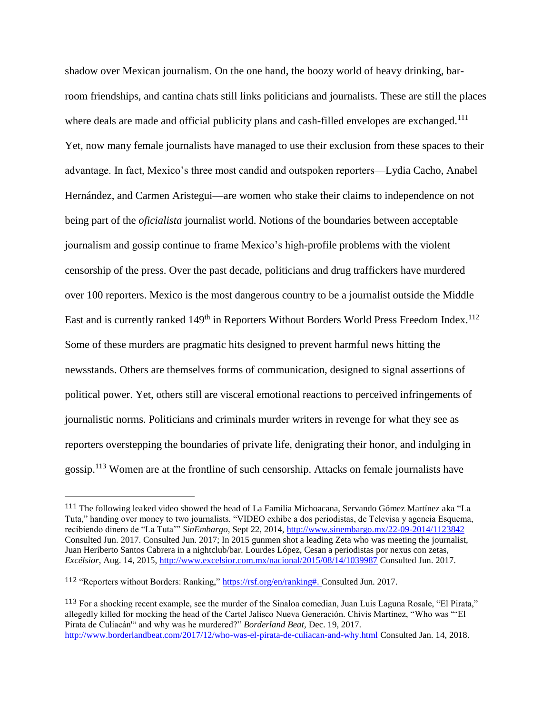shadow over Mexican journalism. On the one hand, the boozy world of heavy drinking, barroom friendships, and cantina chats still links politicians and journalists. These are still the places where deals are made and official publicity plans and cash-filled envelopes are exchanged.<sup>111</sup> Yet, now many female journalists have managed to use their exclusion from these spaces to their advantage. In fact, Mexico's three most candid and outspoken reporters—Lydia Cacho, Anabel Hernández, and Carmen Aristegui—are women who stake their claims to independence on not being part of the *oficialista* journalist world. Notions of the boundaries between acceptable journalism and gossip continue to frame Mexico's high-profile problems with the violent censorship of the press. Over the past decade, politicians and drug traffickers have murdered over 100 reporters. Mexico is the most dangerous country to be a journalist outside the Middle East and is currently ranked 149<sup>th</sup> in Reporters Without Borders World Press Freedom Index.<sup>112</sup> Some of these murders are pragmatic hits designed to prevent harmful news hitting the newsstands. Others are themselves forms of communication, designed to signal assertions of political power. Yet, others still are visceral emotional reactions to perceived infringements of journalistic norms. Politicians and criminals murder writers in revenge for what they see as reporters overstepping the boundaries of private life, denigrating their honor, and indulging in gossip.<sup>113</sup> Women are at the frontline of such censorship. Attacks on female journalists have

<sup>111</sup> The following leaked video showed the head of La Familia Michoacana, Servando Gómez Martínez aka "La Tuta," handing over money to two journalists. "VIDEO exhibe a dos periodistas, de Televisa y agencia Esquema, recibiendo dinero de "La Tuta'" *SinEmbargo,* Sept 22, 2014,<http://www.sinembargo.mx/22-09-2014/1123842> Consulted Jun. 2017. Consulted Jun. 2017; In 2015 gunmen shot a leading Zeta who was meeting the journalist, Juan Heriberto Santos Cabrera in a nightclub/bar. Lourdes López, Cesan a periodistas por nexus con zetas, *Excélsior*, Aug. 14, 2015,<http://www.excelsior.com.mx/nacional/2015/08/14/1039987> Consulted Jun. 2017.

<sup>112</sup> "Reporters without Borders: Ranking," [https://rsf.org/en/ranking#.](https://rsf.org/en/ranking) Consulted Jun. 2017.

<sup>113</sup> For a shocking recent example, see the murder of the Sinaloa comedian, Juan Luis Laguna Rosale, "El Pirata," allegedly killed for mocking the head of the Cartel Jalisco Nueva Generación. Chivis Martínez, "Who was "'El Pirata de Culiacán'" and why was he murdered?" *Borderland Beat,* Dec. 19, 2017. <http://www.borderlandbeat.com/2017/12/who-was-el-pirata-de-culiacan-and-why.html> Consulted Jan. 14, 2018.